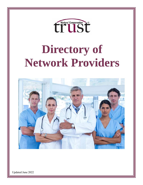

# **Directory of Network Providers**



Updated June 2022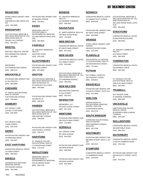# **BRANFORD**

6 BUSINESS PARK DRIVE STE 302 483-4580 (203) STONY CREEK URGENT CARE CENTER

# **BRIDGEPORT**

226 MILL HILL AVENUE 384-3613 (203) OCCUPATIONAL MEDICINE & WELLNESS SERVICES OF YALE NEW HAVEN HEALTH

# **BRISTOL**

539 FARMINGTON AVENUE 584-8900 (860) MED HELP MEDICAL CENTER

975 FARMINGTON AVENUE 589-0114 (860) **MEDWORKS** 

# **BROOKFIELD**

31 OLD ROUTE 7 885-0808 (203) PHYSICIAN ONE URGENT CARL

# **CHESHIRE**

1145 HIGHLAND AVENUE 709-4825 (203) ST. MARYS OCCUPATIONAL HEALTH CENTER

# **DANBURY**

100 MILL PLAIN ROAD 826-2600 (203) AFC URGENT CARE

2 MAIN STREET 826-2140 (203) AFC URGENT CARE

# **DERBY**

78 PERSHING DRIVE 516-5307 (203) PHYSICIAN ONE URGENT CARI

# **EAST HARTFORD**

701 MAIN STREET 289-5561 (860) CONCENTRA MEDICAL CENTEI

# **ENFIELD**

155 HAZARD AVENUE (860) 763-7668 JOHNSON OCCUPATIONAL MEDICINE CENTER

55 HAZARD AVENUE 745-9911 (860) PHYSICIAN ONE URGENT CARI

# **ESSEX**

252 WESTBROOK ROAD (RTE 153) 359-3840 (860) MIDDLESEX HEALTH OCCUPATIONAL & ENVIRONMENTAL MEDICINE

# **FAIRFIELD**

1055 POST ROAD 259-3440 (203) ST. VINCENTS IMMEDIATE HEALTH

# **GLASTONBURY**

2928 MAIN STREET 657-8289 (860) PHYSICIAN ONE URGENT CARI

# **GROTON**

52 HAZELNUT HILL ROAD 446-8265 (860) OCCUPATIONAL MEDICINE & WELLNESS SERVICES OF YALI NEW HAVEN HEALTH

220 ROUTE 12 446-6137 (860) PHYSICIAN ONE URGENT CARL

#### **HAMDEN**

2080 WHITNEY AVENUE 789-6240 (203) OCCUPATIONAL MEDICINE & WELLNESS SERVICES OF YALI NEW HAVEN HEALTH

2165 DIXWELL AVENUE 248-2727 (203) PHYSICIAN ONE URGENT CARI

#### **HARTFORD**

114 WOODLAND STREET 714-4270 (860) ST. FRANCIS CTR FOR OCCUPATIONAL HEALTH

#### **MIDDLETOWN**

534 SAYBROOK ROAD 358-2750 (860) MIDDLESEX HEALTH OCCUPATIONAL & ENVIRONMENTAL MEDICINE

# **MONROE**

401 MONROE TURNPIKE 268-2501 (203) ST. VINCENTS IMMEDIATE HEALTH

# **NAUGATUCK**

799 NEW HAVEN ROAD 723-5636 (203) ST. MARYS MEDICAL WALK-IN

# **NEW BRITAIN**

972 WEST MAIN STREET 827-0745. (860) CONCENTRA MEDICAL CENTEL

# **NEW HAVEN**

370 JAMES STREET 503-0482 (203) CONCENTRA MEDICAL CENTEI

175 SHERMAN AVENUE 789-3392 (203) OCCUPATIONAL MEDICINE & WELLNESS SERVICES OF YALI NEW HAVEN HEALTH

# **NEW MILFORD**

21 ELM STREET 355-2611 (860) NEW MILFORD HOSPITAL

# **NEWINGTON**

375 EAST CEDAR STREET 667-4418 (860) MEDWORKS LLC

# **NEWTOWN**

266 SOUTH MAIN STREET 270-9000 (203) PHYSICIAN ONE URGENT CARL

# **NORWALK**

607 MAIN AVENUE 845-9100 (203) AFC URGENT CARE

346 MAIN AVENUE 846-8440 (203) PHYSICAN ONE URGENT CARE

346 MAIN AVENUE 650-3848 (203) PHYSICIAN ONE URGENT CAR

# **NORWICH**

10 CONNECTICUT AVENUE 859-5100 (860) CONCENTRA MEDICAL CENTEI

607 WEST MAIN STREET 892-9000 (860) PHYSICIAN ONE URGENT CARI

# **ORANGE**

236 BOSTON POST ROAD 815-1054 (203) STONY CREEK URGENT CARE **CENTER** 

# **PLAINVILLE**

440 NEW BRITAIN AVENUE 747-9441 (860) THE HOSPITAL OF CENTRAL CT OCCUPATIONAL HEALTH

# **PUTNAM**

320 POMFRET STREET 928-6541 (860) DAY KIMBALL HOSPITAL

# **RIDGEFIELD**

10 SOUTH STREET, SUITE 101 431-4600 (203) PHYSICIAN ONE URGENT CARI

# **SHELTON**

10 PROGRESS DRIVE 944-3718 (203) GRIFFIN HOSPITAL OCCUPATIONAL MEDICINE CENTER SHELTON

# **SOUTH WINDSOR**

2800 TAMARACK AVENUE, SUITE 001 647-4796 (860) CORPCARE OCCUPATIONAL HEALTH CENTER

#### **SOUTHBURY**

900 MAIN STREET, BDLG 2, STE 100 262-1911 (203) PHYSICIAN ONE URGENT CARI

# **STAMFORD**

15 COMMERCE ROAD 324-9100 (203) CONCENTRA MEDICAL CENTEI

260 LONG RIDGE ROAD, SUITE 2140 863-3483 (203) OCCUPATIONAL MEDICINE & WELLNESS SERVICES OF YALI NEW HAVEN HEALTH

# **STRATFORD**

60 WATSON BOULEVARD 380-5945 (203) CONCENTRA MEDICAL CENTEI

3272 MAIN STREET 380-3920 (203) ST. VINCENT S IMMEDIATE HEALTH

# **TORRINGTON**

333 KENNEDY DRIVE 482-4552 (860) CONCENTRA MEDICAL CENTEI

1598 EAST MAIN STREET 482-3467 (860) ST. FRANCIS CTR FOR OCCUPATIONAL HEALTH

# **TRUMBULL**

57 MONROE TURNPIKE 590-6330 (203) AFC URGENT CARE

#### **UNCASVILLE**

80 NORWICH-NEW LONDON **TURNPIKE** 848-1297 (860) HARTFORD HEALTHCARE MEDICAL GROUP

# **WALLINGFORD**

900 NORTHRUP ROAD 949-1534 (203) CONCENTRA MEDICAL CENTEI

# **WATERBURY**

8 SOUTH COMMONS ROAD 759-1229 (203) CONCENTRA MEDICAL CENTEI

920 WOLCOTT STREET, SUITE 19 574-1200 (203) PHYSICIAN ONE URGENT CARI

Rev: 6/21/2022

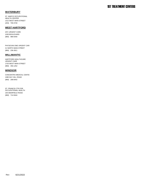# **WATERBURY**

1312 WEST MAIN STREET 709-3740 (203) ST. MARYS OCCUPATIONAL HEALTH CENTER

# **WEST HARTFORD**

1030 BOULEVARD 986-6440 (860) AFC URGENT CARE

21 NORTH MAIN STREET 236-3911 (860) PHYSICIAN ONE URGENT CARI

# **WILLIMANTIC**

1703 WEST MAIN STREET 456-1252 (860) HARTFORD HEALTHCARE URGENT CARE

# **WINDSOR**

1080 DAY HILL ROAD 298-8442 (860) CONCENTRA MEDICAL CENTEI

100 DEERFIELD ROAD 714-9444 (860) ST. FRANCIS CTR FOR OCCUPATIONAL HEALTH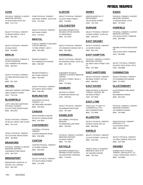# **AVON**

44 DALE ROAD SUITE 203 674-1713 (860) PHYSICAL THERAPY & SPORTS MEDICINE CENTERS

31 ENSIGN DRIVE, STE B 404-2451 (860) SELECT PHYSICAL THERAPY

34 DALE ROAD 678-8655 (860) SELECT PHYSICAL THERAPY

# **BERLIN**

1231 FARMINGTON AVENUE 829-5511 (860) FOCUS PHYSICAL THERAPY & SPORTS MEDICINE

211 NEW BRITAIN ROAD STE 101 827-1333 (860) SELECT PHYSICAL THERAPY

# **BETHEL**

10B ELIZABETH STREET 778-0720 (203) **CARLSON THERAPY NETWORK** 

# **BLOOMFIELD**

673 COTTAGE GROVE ROAD 286-1043 (860) LIVFIT GREATER HARTFORD PHYSICAL THERAPY

35 JOLLEY DRIVE, 3RD FLOOR 242-1578 (860) SELECT PHYSICAL THERAPY

510 COTTAGE GROVE ROAD 769-6690 (860) SELECT PHYSICAL THERAPY

# **BRANFORD**

6 BUSINESS PARK DRIVE 483-7979 (203) PHYSICAL THERAPY & SPORTS MEDICINE CENTERS

# **BRIDGEPORT**

226 MILL HILL AVENUE 366-7301 (203) BRIDGEPORT HOSPITAL PT

3180 MAIN STREET, SUITE 303 373-1593 (203) CORE PHYSICAL THERAPY

4675 MAIN STREET 373-0551 (203) SELECT PHYSICAL THERAPY

# **BRISTOL**

72 PINE STREET, UNIT A 585-5800 (860) FYZICAL THERAPY & BALANCE CTRS OF BRISTOL

# 975 FARMINGTON AVENUE REHAB DYNAMICS I

589-3587 (860)

842 CLARK AVENUE 582-9355 (860) REHAB DYNAMICS II

255 NORTH MAIN STREET 589-1881 (860) SELECT PHYSICAL THERAPY

# **BURLINGTON**

292 SPEILMAN HIGHWAY 404-2924 (860) ADVANCED PHYSICAL THERAPY, LLC

# **CANAAN**

99 SOUTH CANAAN ROAD 824-3820 (860) GEER NURSING & REHAB

# **CANTERBURY**

180 WESTMINSTER ROAD 556-9395 (860) CANTWELL PHYSICAL **THERAPY** 

# **CANTON**

141 DOWD AVENUE 693-6226 (860) CANTON PHYSICAL THERAPY

# **CHESHIRE**

475 SOUTH MAIN STREET 271-2928 (860) SELECT PHYSICAL THERAPY

# **CLINTON**

215 EAST MAIN STREET 744-0901 (860) SELECT PHYSICAL THERAPY

# **COLCHESTER**

121 BROADWAY 537-6798 (860) EASTERN CONNECTICUT REHABILITATION CENTER

179 LINWOOD AVENUE UNIT A-603-3900 (860) SELECT PHYSICAL THERAPY

# **CROMWELL**

80 SHUNPIKE ROAD, SUITE 202 632-1792 (860) SELECT PHYSICAL THERAPY

154 WEST STREET, BLDG 3 STE H 721-9801 (860) SUBURBAN PHYSICAL THERAPY & SPORTS MEDICINE **CENTER** 

# **DANBURY**

2 RIVERVIEW DRIVE #101 798-9702 (203) MOTION PT GROUP

30 GERMANTOWN ROAD 797-1504 (203) SELECT PHYSICAL THERAPY

# **DANIELSON**

55 GREENHOLLOW ROAD 799-0252 (860) DAY KIMBALL PHYSICAL MEDICNE

136 MAIN STREET 774-7001 (860) PHYSICAL THERAPY & SPORTS MEDICINE CENTERS

# **DAYVILLE**

165 HARTFORD TURNPIKE 779-0150 (860) EASTERN CONNECTICUT REHABILITATION CENTER

# **DERBY**

130 DIVISION STREET 732-7445 (203) GRIFFIN HOSPITAL PT DEPARTMENT

# **DURHAM**

16 MAIN STREET, SUITE 201 349-0379 (860) SELECT PHYSICAL THERAPY

# **EAST GRANBY**

13 CHURCH ROAD 653-7341 (860) SELECT PHYSICAL THERAPY

# **EAST HAMPTON**

201 WEST HIGH STREET UNIT  $A<sub>2</sub>$ 357-5666 (860) PHYSICAL THERAPY & SPORTS MEDICINE CENTERS

# **EAST HARTFORD**

893 MAIN STREET STE 302 289-6021 (860) SELECT PHYSICAL THERAPY

# **EAST HAVEN**

232 MAIN STREET 467-3848 (203) OMNI PHYSICAL & AQUATIC THERAPY CENTER, INC

# **EAST LYME**

339 FLANDERS ROAD 271-4848 (860) YNHH L& M PT DEPT AT FLANDERS HLT CTR

# **ELLINGTON**

89 WEST ROAD UNIT 2B 896-0538 (860) SELECT PHYSICAL THERAPY

# **ENFIELD**

113 ELM STREET, SUITE 201 253-5196 (860) SELECT PHYSICAL THERAPY

151 HAZARD AVENUE 763-7625 (860) TRINITY HEALTH JOHNSON MEMORIAL HEALTH PT

# **ESSEX**

12 BOKUM ROAD, STE B 767-9035 (860) PHYSICAL THERAPY & SPORTS MEDICINE CENTERS

# **FAIRFIELD**

2373 BLACK ROCK TURNPIKE 659-4998 (203) PHYSICAL THERAPY & SPORTS MEDICINE CENTERS

1931 BLACK ROCK TURNPIKE 384-8681 (203) REHABILITATION ASSOCIATES INC.

222 EAST POST ROAD, STE E 255-8888 (203) SELECT PHYSICAL THERAPY

# **FARMINGTON**

270 FARMINGTON AVENUE 677-6067 (860) SELECT PHYSICAL THERAPY

# **GLASTONBURY**

628 HEBRON AVENUE 652-3181 (860) GLASTONBURY WELLNESS **CENTER** 

124 HEBRON AVENUE 781-6999 (860) PHYSICAL THERAPY & SPORTS MEDICINE CENTERS

52 NATIONAL DRIVE 633-8040 (860) ROSS PHYSICAL THERAPY SERVICES, LLC

131 NEW LONDON TPKE #321 633-7803 (860) SELECT PHYSICAL THERAPY

# **GRANBY**

11 MILL POND ROAD, SUITE 3 413-9969 (860) CONNECTICUT PHYSICAL THERAPY SPECIALISTS, LLC

PHYSICAL THERAPISTS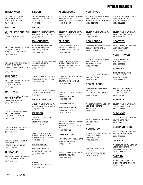# Rev: 6/21/2022

5 PERRYRIDGE ROAD 863-3290 (203)

52 HAZELNUT HILL ROAD

481 GOLD STAR HIGHWAY

MEDICINE CENTERS

446-8254

453-2844 (203)

**HARTFORD**

296-8630 (860)

522-2717 (860)

95 WOODLAND STREET 714-3500 (860)

490 BLUE HILLS AVENUE 714-3066 (860)

**HIGGANUM**

23 KILLINGWORTH ROAD 345-2622 (860)

HIGGANUM PHYSICAL THERAP

TRINITY HEALTH - MT. SINAI REHAB HOSPITAL

MOUNT SINAI REHABILATATIOI

**GUILFORD**

MEDICINE CENTERS

PHYSICAL THERAPY & SPORTS

481 GOLDSTAR HIGHWAY- STE

PHYSICAL THERAPY& SPORTS

L& M PT DEPT AT PEQUOT HLT

271-4848 (860)

446-8254 (860)

**GROTON**

**CTR** 

302

(860)

GREENWICH HOSPITAL PHYSICAL MEDICINE

**GREENWICH**

385 CHURCH STREET PHYSICAL THERAPY & SPORTS MEDICINE CENTERS 191 FRANKLIN AVENUE LIVEFIT GREATER HARTFORD PHYSICAL THERAPY 36 WOODLAND STREET LIVFIT GREATER HARTFORD PHYSICAL THERAPY 533-0356 (860) 360 TOLLAND TURNPIKE 643-5317 (860) SELECT PHYSICAL THERAPY 14 JONES HOLLOW ROAD STE 295-8188 (860) VALLEY PHYSICAL THERAPY **MARLBOROUGH MERIDEN**

2B LEE ROAD 376-2564 (860)

**MADISON**

245-0001 (203)

71 HAYNES STREET 647-6485 (860)

155 MAIN STREET (860) 781-7264

**MANCHESTER**

**LISBON**

EASTERN CONNECTICUT REHABILITATION CENTER

1291 BOSTON POST ROAD

MANCHESTER MEMORIAL HOSPITAL, REHAB DEPT

PHYSICAL THERAPY & SPORTS MEDICINE CENTERS

275 MIDDLE TURNPIKE WEST

SELECT PHYSICAL THERAPY

SELECT PHYSICAL THERAPY

816 BROAD STREET 238-1334 (203) CARLSON PROCARE OF MERIDEN

303 SOUTH BROAD STREET 235-0171 (203) OMNI PHYSICAL & AQUATIC THERAPY CENTER, INC

# **MIDDLEBURY**

1625 STRAITS TRUNPIKE 598-0400 (203) ACCESS REHAB CENTERS LLC

1579 STRAITS TURNPIKE 577-2022 (203) SCORE, LLC

**MIDDLETOWN**

134 MAIN STREET EXTENSION 740-3087 (860) PHYSICAL THERAPY & SPORTS MEDICINE CENTERS

140 MAIN STREET, SUITE 4B 343-9572 (860) SELECT PHYSICAL THERAPY

# **MILFORD**

531 NEW HAVEN AVENUE 877-3349 (203) ACCELL REHABILITATION & PHYSICAL THERAPY

397 BRIDGEPORT AVENUE 877-0112 (203) OMNI PHYSICAL & AQUATIC THERAPY CENTER, INC

531 NEW HAVEN AVENUE 878-0060 (203) PHYSICAL THERAPY & REHAB SPECIAL ISTS

680 BOSTON POST ROAD 783-1997 (203) REHABILITATION ASSOCIATES INC.

# **NAUGATUCK**

305 CHURCH STREET 723-4010 (203) ACCESS REHAB CENTERS LLC

100 PROSPECT STREET, STE 116 723-0722 (203) PHYSICAL THERAPY & SPORTS MEDICINE CENTERS

# **NEW BRITAIN**

2150 CORBIN AVENUE 223-2761 (860) HOSPITAL FOR SPECIAL CARE

1 LIBERTY SQUARE 224-9422 (860) SELECT PHYSICAL THERAPY

# **NEW HAVEN**

46 PRINCE STREET, STE 402B 752-7878 (203) PHYSICAL THERAPY & SPORTS MEDICINE CENTERS

285 NICOLL STREET 261-4001 (475) SELECT PHYSICAL THERAPY

# **NEW LONDON**

6 SHAW'S COVE STE. 101 447-3009 (860) CARLSON THERAPY NETWORK

635 BROAD STREET 447-8558 (860) PHYSICAL THERAPY & SPORTS MEDICINE CENTERS

668 BANK STREET 442-4600 (860) SELECT PHYSICAL THERAPY

# **NEW MILFORD**

116 DANBURY RD. MAILBOX 5 354-7605 (860) CARLSON THERAPY NEW MILFORD

43 MAIN STREET 946-0710 (860) PHYSICAL THERAPY & SPORTS MEDICINE CENTERS

131 KENT ROAD 350-3330 (860) SELECT PHYSICAL THERAPY

# **NEWINGTON**

190 FENN ROAD 665-1177 (860) FOCUS PHYSICAL THERAPY & SPORTS MEDICINE

375 EAST CEDAR STREET 667-4418 (860) MEDWORKS PHYSICAL **THERAPY** 

64 MARKET SQUARE 881-2928 (860) PHYSICAL THERAPY & SPORTS MEDICINE CENTERS

505 WILLARD AVENUE #1D 665-8265 (860) SELECT PHYSICAL THERAPY

# **NEWTOWN**

12 QUEEN STREET 426-0004 (203) SELECT PHYSICAL THERAPY

# **NORTH HAVEN**

8 DEVINE STREET 230-9226 (203) GAYLORD HOSPITAL

# **NORWALK**

698 WEST AVENUE 852-9903 (203) INNOVATIVE HEALTH & REHABILITATION

114 EAST AVENUE 853-1073 (203) RPT INC. DBA PHYSICAL THERAPY ASSOCIATES

# **NORWICH**

1 TOWN PARK PLAZA 886-9111 (860) SELECT PHYSICAL THERAPY

# **OLD LYME**

6 DAVIS ROAD WEST 434-9155 (860) SELECT PHYSICAL THERAPY

# **OLD SAYBROOK**

929 BOSTON POST ROAD 388-6511 (860) SELECT PHYSICAL THERAPY

# **ORANGE**

240 INDIAN RIVER ROAD 298-9828 (203) PHYSICAL THERAPY & SPORTS MEDICINE CENTERS

# **OXFORD**

84 OXFORD ROAD (RTE. 67) 881-0830 (203) ACCESS REHAB CENTERS LLC

# PHYSICAL THERAPISTS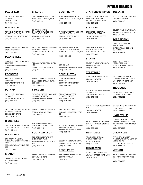# PHYSICAL THERAPISTS

# **PLAINFIELD**

DAY KIMBALL PHYSICAL

103 EAST MAIN STREET UNIT C

SELECT PHYSICAL THERAPY

PHYSICAL THERAPY & SPORTS

31 DOW ROAD 564-6241 (860)

517-8885 (860)

240 EAST STREET 793-6882 (860)

**PLANTSVILLE**

MEDICINE CENTERS

**PLAINVILLE**

MEDICINE

# **SHELTON**

4 CORPORATE DRIVE, #184 925-4201 (203) BRIDGEPORT HOSPITAL PT

100 COMMERCE DRIVE 944-3718 (203)

886 BRIDGEPORT AVENUE

555 BRIDGEPORT AVENUE

2 IVY BROOK BROAD, SUITE

SELECT PHYSICAL THERAPY

REHABILITATION ASSOCIATES

PHYSICAL THERAPY & SPORTS MEDICINE CENTERS

445-6068 (203)

922-1773 (203)

213, 2ND FL 924-2853 (203)

INC.

GRIFFIN HOSPITAL OCCUPATIONAL MEDICINE CENTER SHELTON

# **SOUTHBURY**

690 MAIN STREET SOUTH, STE 5 267-4060 (203) ACCESS REHAB CENTERS LLC

760 MAIN STREET UNIT D 437-6155 (203) PHYSICAL THERAPY & SPORTS MEDICINE CENTERS

**760 MAIN STREET SOUTH, UNIT** D 437-6155 (203) PT & SPORTS MEDICINE CENTER OF SOUTHBURY

2 POMPERAUG OFFICE PARK 264-1735 (203) SCORE, LLC

# **SOUTHINGTON**

360 NORTH MAIN STREET 621-7389 (860) COMMUNITY PHYSICAL **THERAPY** 

1131 WEST STREET 621-3899 (860) GREATER HARTFORD PHYSICAL THERAPY

51 NORTH MAIN STREET STE 628-0823 (860) MOTION PT GROUP

18 SOUTH CENTER STREET 621-5054 (860) PHYSICAL THERAPY & SPORTS MEDICINE CENTERS

98 MAIN STREET, SUITE 202 620-9954 (860) SELECT PHYSICAL THERAPY

# **SOUTHPORT**

2600 POST ROAD 259-7115 (203) BRIDGEPORT HOSPITAL PT

# **STAFFORD SPRINGS TOLLAND**

201 CHESTNUT HILL ROAD 684-8260 (860) TRINITY HEALTH JOHNSON MEMORIAL HOSPITAL PT

# **STAMFORD**

2015 WEST MAIN STREET 863-2880 (203) GREENWICH HOSPITAL PHYSICAL MEDICINE

260 LONG RIDGE ROAD 863-2880 (203) GREENWICH HOSPITAL PHYSICAL MEDICINE

# **STORRS**

9 DOG LANE #108 429-0899 (860) SELECT PHYSICAL THERAPY

# **STRATFORD**

3585 MAIN STREET 380-4672 (203) BRIDGEPORT HOSPITAL PT

1505 BARNUM AVENUE 878-0060 (203) PHYSICAL THERAPY & REHAB SPECIALISTS

2900 MAIN STREET 378-0092 (203) REHABILITATION ASSOCIATES INC.

2505 MAIN STREET, STORE 2, BLDG 2 375-0891 (203) SELECT PHYSICAL THERAPY

#### **TERRYVILLE**

311 MAIN STREET 506-4124 (860) ADVANCED PHYSICAL THERAPY CENTER

# **THOMASTON**

131 MAIN STREET SUITE 105B 283-4700 (203) ACCESS REHAB CENTERS LLC

100 GERBER DRIVE 896-9145 (860) SELECT PHYSICAL THERAPY

384 MERROW ROAD, STE 2B 875-4816 (860) SELECT PHYSICAL THERAPY

# **TORRINGTON**

30 PECK ROAD - BLDG# 1 SUITE 1101 489-0867 (860) MALETTA PFEIFFER & **ASSOCIATES** 

245 ALVORD PARK ROAD 496-9851 (860) MALETTA PFEIFFER & ASSOCIATES LLC

1598 EAST MAIN STREET 482-3467 (860) ST. FRANCIS CTR FOR OCCUPATIONAL HEALTH PT

# **TRUMBULL**

15 CORPORATE DRIVE 445-2621 (203) BRIDGEPORT HOSPITAL PT

115 TECHNOLOGY DRIVE 268-8888 (203) SELECT PHYSICAL THERAPY

# **UNCASVILLE**

620 NORWICH- NEW LONDON TPKE 237-3510 (860) CONNECTICUT PHYSICAL THERAPY SPECIALISTS, LLC

#### **UNIONVILLE**

112 SOUTH MAIN STREET 673-0223 (860) FARMINGTON VALLEY PHYSICAL THERAPY & SPORTS MEDICINE. PC

# **VERNON**

520 HARTFORD TURNPIKE, SUITE S 870-0760 (860) SELECT PHYSICAL THERAPY

# 1090 MERIDEN WATERBURY TPKE 272-8490 (203) **CENTERS**

FYZICALTHERAPY & BALANCE

# **PROSPECT**

166 WATERBURY ROAD 805-4795 (203) ADVANCED PHYSICAL THERAPY, LLC

# **PUTNAM**

12 SOUTH MAIN STREET 928-8360 (860) DAY KIMBALL PHYSICAL MEDICINE

39 KENNEDY DRIVE 963-2174 (860) PHYSICAL THERAPY & SPORTS MEDICINE CENTERS

90 GROVE STREET SUITE 106

506 CROMWELL AVENUE, STE

SELECT PHYSICAL THERAPY

721-9801

50 AMENIA ROAD 364-9309 (860)

**SHARON**

SUBURBAN PHYSICAL THERAPY & SPORTS MEDICINE

CARLSON THERAPY NETWORK

403-3519 (203)

**ROCKY HILL**

103

(860)

**CENTER** 

**RIDGEFIELD**

225 HOPMEADOW ROAD 651-0277 (860)

540 HOPMEADOW STREET

PHYSICAL THERAPY & SPORTS MEDICINE CENTERS

269-9300 (860)

**SIMSBURY**

75 GREATER POND ROAD 658-3745 (860) THE MCLEAN AFFILIATES

# **SOUTH WINDSOR**

2800 TAMARACK DRIVE, STE 101 533-4670 (860) ECHN REHABILITATION AT EVERGREEN WALK

25 OAKLAND ROAD 648-8998 (860) SELECT PHYSICAL THERAPY

SELECT PHYSICAL THERAPY 3G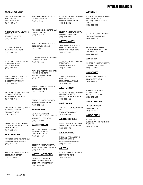# PHYSICAL THERAPISTS

# **WALLINGFORD**

85 BARNES ROAD 697-1067 (203) CARLSON PROCARE OF WALLINGFORD

20 CHAPEL STREET 741-9948 (203) FYZICAL THERAPY & BLANCE CENTERS

GAYLORD FARM ROAD 284-2876 (203) GAYLORD HOSPITAL

101 NORTH PLAINS INDUSTRIAL ROAD 265-0018 (203) IVYREHAB PHYSICAL THERAPY

8 RESEARCH PARKWAY 294-1998 (203) OMNI PHYSICAL & AQUATIC THERAPY CENTER, INC

860 NORTH MAIN STREET 793-7592 (203) PHYSICAL THERAPY & SPORTS MEDICINE CENTERS

97 BARNES ROAD 793-7592 203 PHYSICAL THERAPY& SPORTS MEDICINE CENTERS

850 NORTH MAIN STREET EXT BLDG 1, STE 3B 265-3790 (860) SELECT PHYSICAL THERAPY

# **WATERBURY**

134 GRANDVIEW AVENUE 573-7130 (203) ACCESS REHAB CENTERS LLC

2154 E. MAIN STREET 575-0516 (203) ACCESS REHAB CENTERS LLC 64 ROBBINS STREET 573-6041 (203) ACCESS REHAB CENTERS LLC

22 TOMPKINS STREET 419-0381 (203)

ACCESS REHAB CENTERS LLC

715 LAKEWOOD ROAD 759-1122 (203) ACCESS REHAB CENTERS LLC

500 CHASE PARKWAY 754-2266 (203) IVYREHAB PHYSICAL THERAPY

1211 WEST MAIN STREET 753-6043 (203) PHYSICAL THERAPY & SPORTS MEDICINE CENTERS

117 SHARON ROAD 756-2334 (203) SELECT PHYSICAL THERAPY

1320 WEST MAIN STREET 573-9518 (203) SELECT PHYSICAL THERAPY

#### **WATERFORD**

40 BOSTON POST ROAD 2714848 (860) L& M AT WATERFORD **OUTPATIENT REHAB SERVICES** 

#### **WATERTOWN**

27 DEPOT STREET 274-1487 (860) PHYSICAL THERAPY & SPORTS MEDICINE CENTERS

76 WESTBURY PARK RD. #201E 274-7573 (860) SELECT PHYSICAL THERAPY

# **WEST HARTFORD**

342 NORTH MAIN STREET 461-7940 (860) CONNECTICUT PHYSICAL THERAPY SPECIALISTS, LLC

133 SOUTH MAIN STREET 940-2001 (860) PHYSICAL THERAPY & SPORTS MEDICINE CENTERS

29 NORTH MAIN STREET 561-3960 (860) SELECT PHYSICAL THERAPY

# **WEST HAVEN**

183 BOSTON POST ROAD 933-2225 (203) OMNI PHYSICAL & AQUATIC THERAPY CENTER, INC

466 DERBY AVENUE 878-0060 (203) PHYSICAL THERAPY & REHAB SPECIALISTS

544 CAMPBELL AVENUE 937-6150 (203) PHYSICIANS PHYSICAL **THERAPY** 

# **WESTBROOK**

5 PEQUOT ROAD SUITE 303 399-6411 (860) PHYSICAL THERAPY & SPORTS MEDICINE CENTERS

# **WESTPORT**

728 POST ROAD EAST 341-0488 (203) REHABILITATION ASSOCIATES INC.

# **WETHERSFIELD**

672 SILAS DEANE HIGHWAY 257-7473 (860) SELECT PHYSICAL THERAPY

# **WILLIMANTIC**

162 MANSFIELD AVENUE 456-2232 (860) CARLSON PROCARE PT & SPORTS MEDICINE

# **WILTON**

23 HUBBARD ROAD 762-5623 (203) WILTON PHYSICAL THERAPY

# **WINDSOR**

645 POQUONOCK AVENUE - UNIT G 752-6900 (860) PHYSICAL THERAPY & SPORTS MEDICINE CENTERS

150 POQUONOCK ROAD 688-5774 (860) SELECT PHYSICAL THERAPY

100 DEERFIELD ROAD 714-9430 (860) ST. FRANCIS CTR FOR OCCUPATIONAL HEALTH PT

# **WINSTED**

115 SPENCER STREET 738-5810 (860) WINSTED PHYSICAL THERAPY

# **WOLCOTT**

650 WOLCOTT ROAD 879-6700 (203) ACCESS REHAB CENTERS LLC

465 WOLCOTT ROAD 879-0107 (203) ADVANCED PHYSICAL THERAPY, LLC

# **WOODBRIDGE**

245 AMITY ROAD 389-8177 (203) MOTION PT GROUP

# **WOODBURY**

51 SHERMAN HILL ROAD, BLDG A, STE 201 263-3104 (203) SCORE, LLC

Rev: 6/21/2022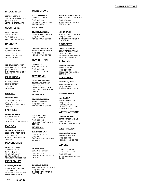# CHIROPRACTORS

# **BROOKFIELD**

2 OLD NEW MILFORD ROAD (203) 740-2500 LENTINI CHIROPRACTIC **LENTINI, GEORGE**

# **COLCHESTER**

16 WALL STREET 537-2202 **CASEY CHIROPRACTIC CASEY, AARON**

# **DANBURY**

132 FEDERAL ROAD (203) 778-2225 CONNECTICUT FAMILY CHIROPRACTIC **SCLAFANI, LOUIS**

46 FEDERAL ROAD, UNIT B 791-9111 SAND PIT CHIROPRACTIC (203) 79<br>SAND PI<br>CENTER **KISKER, CHRISTOPHER**

# **EAST HAVEN**

36 MAIN STREET 467-7783 RC MANNA, DC **MANNA, RALPH**

# **ENFIELD**

155 HAZARD AVENUE (860) 763-4848 BELLUCCI CHIROPRACTIC **CENTER BELLUCCI, MARK**

# **FAIRFIELD**

1995 POST ROAD (203) 259-1555 SOUTHPORT CHIROPRACTIC **PINSKY, RICHARD**

# **MADISON**

101 BOSTON POST ROAD 245-3245 A FAMILY CHIROPRACTIC (203) 24<br>A FAMIL`<br>CENTER **RICHARDSON, THOMAS**

# **MANCHESTER**

1047 MAIN STREET (860) 643-2888 RUGGIERO FAMILY CHIROPRACTIC & **REHABILITATION CENTER RUGGIERO, BRIAN**

# **MIDDLEBURY**

1579 STRAITS TURNPIKE (203) 598-7246 INTERVENTIONAL SPINE & (203) 598-7246<br>INTERVENTIONAL SPINE<br>SPORTS MEDICINE, P.C. **DANIELLS, EDMOND**

909 NEWFIELD STREET 632-1022 LABBADIA & CARROCCIA (860) 632-1022<br>LABBADIA & CA<br>CHIROPRACTIC **WEISS, WILLIAM F.**

# **MILFORD**

531 NEW HAVEN AVENUE (203) 878-7800 NEURO-SPINAL CENTER **DEANGELO, WILLIAM**

531 NEW HAVEN AVENUE 878-7800 **NEURO-SPINAL CENTER RICKARD, CHRISTOPHER**

# **NEW BRITAIN**

10 CEDAR STREET (860) 225-9925 FRANCIS J. VESCI, D.C. **, FRANCIS J.**

# **NEW HAVEN**

1213 CHAPEL STREET 776-3375 NEW HAVEN MEDICAL - SPORTS & OCCUPATIONAL<br>HEALTH (203) 7<br>NEW HA<br>SPORTS<br>HEALTH **PISERCHIA, STEPHEN**

#### **NORWALK**

150 EAST AVENUE  $(203)$  854-5500 **NEURO-SPINAL CENTER DEANGELO, WILLIAM**

83 EAST AVENUE 838-9795 NORWALK CHIROPRACTIC (203) 83<br>NORWAI<br>CENTER **OVERLAND, KEITH**

#### **NORWICH**

85 SACHEM STREET 889-5812 CHIROPRACTIC CENTER OF (860) 889<br>CHIROPR/<br>NORWICH **CARNAROLI, LYNN**

85 SACHEM STREET 889-5812 CHIROPRACTIC CENTER OF (860) 889<br>CHIROPR*I*<br>NORWICH **SAYOUR, PAUL**

12 CASE STREET, SUITE 312 (860) 887-4325 THAMES CHIROPRACTIC (860) 887-432<br>THAMES CHIF<br>CENTER, P.C. **CORBELLE, JUSTIN**

**MACADAM, CHRISTOPHER**

12 CASE STREET, SUITE 312 887-4325 THAMES CHIROPRACTIC (860) 887-432<br>THAMES CHIF<br>CENTER, P.C.

#### **MEDER, DAVID**

12 CASE STREET, SUITE 312 (860) 887-4325 THAMES CHIROPRACTIC (860) 887-432<br>THAMES CHIF<br>CENTER, P.C.

# **PROSPECT**

166 WATERBURY ROAD (203) 598-7246 INTERVENTIONAL SPINE & (203) 598-7246<br>INTERVENTIONAL SPINE<br>SPORTS MEDICINE, P.C. **DANIELLS, EDMOND**

# **SHELTON**

# **DESSAU, EDWARD**

45 WHITE STREET (203) 924-7557 DESSAU CHIROPRACTIC (203) 924-75!<br>DESSAU CHIF<br>CENTER, LLC

# **STRATFORD**

1505 BARNUM AVENUE (203) 381-9000 **NEURO-SPINAL CENTER DEANGELO, WILLIAM**

# **WATERBURY**

500 CHASE PARKWAY 755-6677 NEUROSURGERY, ORTHOPAEDICS & SPINE (203) 755-6677<br>NEUROSURGERY,<br>ORTHOPAEDICS 8<br>SPECIALISTS, P.C **MASHIA, MARK**

# **WEST HARTFORD**

557 PROSPECT AVENUE 523-5833 ) WESTSIDE CHIROPRACTIC (860<br>WES<br>LLC **DUENAS, RICHARD**

# **WEST HAVEN**

466 DERBY AVENUE 397-1999 **NEURO-SPINAL CENTER DEANGELO, WILLIAM**

# **WINDSOR**

555 DAY HILL ROAD (860) 298-9898 WINDSOR CHIROPRACTIC (860)<br>WINDS<br>CLINIC **SENNETT, RICHARD**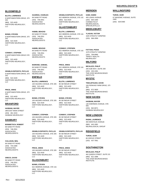# **BLOOMFIELD**

#### **BLUTH, LAWRENCE**

6 NORTHWESTERN DRIVE, STE 202 522-4429 (860) HARTFORD NEUROLOGY, LLC

#### **BONDI, STEVEN**

6 NORTHWESTERN DRIVE, STE 202 522-4429 (860) HARTFORD NEUROLOGY, LLC

#### **CONWAY, STEPHEN**

6 NORTHWESTERN DRIVE STE 202 522-4429 (860) HARTFORD NEUROLOGY, LLC

#### **GRABLE-ESPOSITO, PHYLLIS**

6 NORTHWESTERN DRIVE, STE 202 522-4429 HARTFORD NEUROLOGY, LLC (860)

6 NORTHWESTERN DRIVE, STE 202 522-4429 (860) HARTFORD NEUROLOGY, LLC **PRICE, ARIKE**

# **BRANFORD**

288 EAST MAIN STREET 481-3153 (203) HASBANI NEUROLOGY **HASBANI, MAYER**

# **DANBURY**

69 SAND PIT ROAD 748-2551 (203) **ASSOCIATED** NEUROLOGISTS **BONWETSCH, ROBERT**

#### **CULLIGAN, NEIL**

69 SAND PIT ROAD 744-2380 (203) ASSOCIATED NEUROLOGISTS

#### **GRECO, DAVID**

69 SAND PIT ROAD 748-2551 (203) ASSOCIATED NEUROLOGISTS

69 SAND PIT ROAD 748-2551 (203) ASSOCIATED NEUROLOGISTS **GUARDIA, CHARLES**

#### **HABIBI, BEHZAD**

69 SAND PIT ROAD 748-2551 (203) **ASSOCIATED** NEUROLOGISTS

#### **HABIBI, BEHZAD**

69 SAND PIT ROAD 748-2551 (203) ASSOCIATED NEUROLOGISTS

#### 69 SAND PIT ROAD 748-2551 (203) **ASSOCIATED** NEUROLOGISTS **MARKIND, SAMUEL**

# **ENFIELD**

100 HAZARD AVENUE, STE 205 522-4429 (860) HARTFORD NEUROLOGY, LLC **BLUTH, LAWRENCE**

100 HAZARD AVENUE, STE 205 522-4429 (860) HARTFORD NEUROLOGY,  $\sqcup$  C **BONDI, STEVEN**

100 HAZARD AVENUE, STE 205 522-4429 (860) HARTFORD NEUROLOGY,  $\overline{L}$ **CONWAY, STEPHEN**

100 HAZARD AVENUE, STE 205 522-4429 (860) HARTFORD NEUROLOGY, LLC **GRABLE-ESPOSITO, PHYLLIS**

100 HAZARD AVENUE, STE 205 522-4429 (860) HARTFORD NEUROLOGY,  $\overline{L}$ **PRICE, ARIKE**

# **GLASONBURY**

622 HEBRON AVENUE, STE 102 522-4429 (860) HARTFORD NEUROLOGY, LLC **BONDI, STEVEN**

# **MERIDEN**

**SAMI, HAMID**

622 HEBRON AVENUE, STE 102

622 HEBRON AVENUE, STE 102

622 HEBRON AVENUE, STE 102

622 HEBRON AVENUE, STE 102

**GRABLE-ESPOSITO, PHYLLIS**

522-4429 (860) HARTFORD NEUROLOGY,

522-4429 (860) HARTFORD NEUROLOGY,

522-4429 (860) HARTFORD NEUROLOGY,

522-4429 (860) HARTFORD NEUROLOGY,

85 SEYMOUR STREET 522-4429 (860) HARTFORD NEUROLOGY,

85 SEYMOUR STREET 522-4429 (860) HARTFORD NEUROLOGY,

85 SEYMOUR STREET 522-4429 (860) HARTFORD NEUROLOGY,

85 SEYMOUR STREET 522-4429 (860) HARTFORD NEUROLOGY,

85 SEYMOUR STREET 522-4429 (860) HARTFORD NEUROLOGY,

**PRICE, ARIKE**

**GRABLE-ESPOSITO, PHYLLIS**

**CONWAY, STEPHEN**

**BONDI, STEVEN**

**BLUTH, LAWRENCE HARTFORD**

**PRICE, ARIKE**

**CONWAY, STEPHEN**

**BLUTH, LAWRENCE GLASTONBURY**

 $\sqcup$  C

 $\sqcup$  C

LLC

LLC

LLC

 $\overline{L}$ 

 $\overline{L}$ 

 $\sqcup$  C

LLC

455 LEWIS AVENUE 630-1000 (203) **CONNECTICUT** NEUROLOGICAL SPECIALISTS LLC

# **MIDDLEBURY**

1625 STRAITS TURNPIKE (203) 568-2959 **YLAGAN, VICTOR**

1579 STRAITS TURNPIKE 758-8995 (203) TRINITY HEALTH - NEUROLOGY **FATTAHI, POOIA**

# **MILFORD**

205 SUB WAY, SUITE 200 226-2491 (203) THE AYER NEUROSCIENCE INSTITUTE **MICALIZZI, PHILIP**

# **MYSTIC**

100 PERKINS FARM DRIVE, STE 303 972-3600 (860) THE AYER NEUROSCIENCE INSTITUTE **TINKLEPAUGH, DAVID**

# **NEW HAVEN**

136 SHERMAN AVENUE, STE 505 562-8071 (203) HASBANI NEUROLOGY **HASBANI, MAYER**

# **NEW LONDON**

350 MONTAUK AVENUE 443-1891 (860) NEUROLOGICAL GROUP **RADIN, LAURENCE**

# **RIDGEFIELD**

66 GROVE STREET (203) 437-7661 **TUROK, IGOR**

# **SOUTHINGTON**

462 QUEEN STREET, SUITE 201 621-1896 (860) THE AYER NEUROSCIENCE **INSTITUTE MICALIZZI, PHILIP**

# NEUROLOGISTS

# **WALLINGFORD**

# **TUROK, IGOR**

67 MASONIC AVENUE, SUITE 2400 (203) 429-0490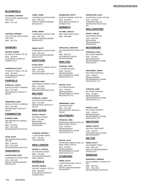# **BLOOMFIELD**

# 701 COTTAGE GROVE ROAD, STE E-010 **CALDERON, STEPHEN**

(860) 522-7121

# **LANTNER, HOWARD**

701 COTTAGE GROVE ROAD, STE E-010 (860) 522-7121

# **DANBURY**

# **BATSON, RAMON**

79 SAND PIT ROAD, STE 301 792-2003 (203) ELITE BRAIN & SPINE OF **CONNECTICUT** 

#### **SANDERSON, SCOTT**

79 SAND PIT ROAD, STE 301 792-2003 (203) ELITE BRAIN & SPINE OF CONNECTICUT

# **FAIRFIELD**

# **GORELICK, JUDITH**

305 BLACK ROCK TURNPIKE 337-2600 (203) ORTHOPAEDIC SPECIALTY GROUP

#### **ZIMMERMAN, GARY**

305 BLACK ROCK TURNPIKE 337-2600 (203) ORTHOPAEDIC SPECIALTY **GROUP** 

# **FARMINGTON**

#### **KURESHI, INAM**

399 FARMINGTON AVENUE , STE 200 278-0070 (860) HHC- THE AYER NEUROSCIENCE INSTITUTE

#### 399 FARMINGTON AVENUE, STE 200 278-0070 (860) HHC- THE AYER NEUROSCIENCE INSTITUTE **KVAM, DAVID**

# **GREENWICH**

#### **APOSTOLIDES, PAUL**

6 GREENWICH OFFICE PARK 869-1145 (203) ORTHO & NEUROSURGERY **SPECIALISTS** 

#### 6 GREENWICH OFFICE PARK 869-1145 (203) ORTHO & NEUROSURGERY SPECIALISTS **CAMEL, MARK**

# **FIORE, AMORY**

6 GREENWICH OFFICE PARK 869-1145 (203) ORTHO & NEUROSURGERY SPECIALISTS

#### **SIMON, SCOTT**

6 GREENWICH OFFICE PARK 869-1145 (203) ORTHO & NEUROSURGERY SPECIALISTS

# **HARTFORD**

#### 100 RETREAT AVENUE, STE 70 278-0070 (860) HHC- THE AYER NEUROSCIENCE INSTITUTE **KVAM, DAVID**

#### 100 RETREAT AVENUE, STE 70 278-0070 (860) HHC -THE AYER NEUROSCIENCE INSTITUTE **KURESHI, INAM**

# **MILFORD**

# 321 BOSTON POST ROAD **GORELICK, JUDITH**

337-2600 (203) ORTHOPAEDIC SPECIALTY **GROUP** 

# **NEW HAVEN**

60 TEMPLE STREET 772-4001 (203) NEW HAVEN NEUROSURIGCAL ASSOCIATES **DICKEY, PHILLIP**

#### **LAURANS, MAXWELL**

1 LONG WHARF DRIVE 785-2807 (203) YALE MEDICINE

# **NEW LONDON**

194 HOWARD STREET 444-3366 (860) YALE NEUROSURGERY - NEW LONDON **DOHERTY, PATRICK**

# **NORWALK**

#### 148 EAST AVENUE, STE 3D 853-0003 (203) ELITE BRAIN & SPINE OF **CONNECTICUT BATSON, RAMON**

#### 148 EAST AVENUE, SUITE 3D **SANDERSON, SCOTT**

853-0003 (203) ELITE BRAIN & SPINE OF CONNECTICUT

# **NORWICH**

ONE TOWN PARK PLAZA (860) 889-8598 **SALAME, CAMILLE**

# **CRISCUOLO, GREGORY**

330 WASHINGTON STREET STE 540 859-5137 (860) HHC MEDICAL GROUP - NEUROSURGERY

# **SHELTON**

2 IVY BROOK ROAD 755-6677 (2030 NEUROSURGERY, ORTHOPAEDICS & SPINE SPECIALISTS, P.C. **STRUGAR, JOHN**

2 IVY BROOK ROAD 755-6677 (203) NEUROSURGERY, ORTHOPAEDICS & SPINE SPECIALISTS, P.C. **WAITZE, ALAN**

760 RIVER ROAD 337-2600 (203) ORTHOPAEDIC SPECIALTY **GROUP ZIMMERMAN, GARY**

# **SOUTHBURY**

RIVERVIEW CINEMA PLAZA, 69 MAIN STREET SOUTH 755-6677 (203) NEUROSURGERY, ORTHOPAEDICS & SPINE SPECIALISTS, P.C. **STRUGAR, JOHN**

#### **WAITZE, ALAN**

RIVERVIEW CINEMA PLAZA, 69 MAIN STREET SOUTH 755-6677 (203) NEUROSURGERY, ORTHOPAEDICS & SPINE SPECIALISTS, P.C.

# **STAMFORD**

5 HIGH RIDGE PARK, 3RD FL 869-1145 (203) ORTHO & NEUROSURGERY SPECIALISTS **SIMON, SCOTT**

#### **ROSENSTEIN, CORY**

29 HOSPITAL PLAZA, STE 602 276-4884 (203) STAMFORD HEALTH INTEGRATED PRACTICES, INC

# **WALLINGFORD**

1062 BARNES ROAD 265-1146 (203) NEW HAVEN NEUROSURIGCAL ASSOCIATES **DICKEY, PHILLIP**

# **WATERBURY**

500 CHASE PARKWAY 755-6677 (203) NEUROSURGERY, ORTHOPAEDICS & SPINE SPECIALISTS **FORSHAW, DAVID**

# **MUSHAWEH, JAROB**

500 CHASE PARKWAY 755-6677 (203) NEUROSURGERY, ORTHOPAEDICS & SPINE SPECIALISTS, P.C.

# **STRUGAR, JOHN**

500 CHASE PARKWAY 755-6677 (203) **NEUROSURGERY** ORTHOPAEDICS & SPINE SPECIALISTS, P.C.

#### **WAITZE, ALAN**

500 CHASE PARKWAY 755-6677 (203) NEUROSURGERY, ORTHOPAEDICS & SPINE SPECIALISTS, P.C.

# **WESTPORT**

300 POST ROAD WEST 332-3272 (203) HARTFORD HEALTHCARE NEUROSURGERY **ABBED, KHALID**

# **WILTON**

249 DANBURY ROAD 869-1145 (203) ORTHO & NEUROSURGERY SPECIALISTS **SIMON, SCOTT**

# **WINDSOR**

#### 360 BLOOMFIELD AVENUE STE 209 688-1311 (860) HHC - THE AYER NEUROSCIENCE INSTITUTE **WAKEFIELD, ANDREW**

Rev: 6/21/2022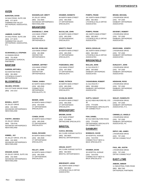# **AVON**

#### 34 DALE ROAD, SUITE 208 677-0079 (860) FARMINGTON VALLEY ORTHOPEDIC ASSOCIATES, P.C. **BURSTEIN, DAVID**

**JAMBOR, CLINTON**

34 DALE ROAD, SUITE 208 677-0079 (860) FARMINGTON VALLEY ORTHOPEDIC ASSOCIATES, P.C.

**SCARANGELLA, STEPHEN**

31 ENSIGN DRIVE 751-6039 (860) ORTHOPEDIC SURGICAL PARTNERS

# **BANTAM**

622 BANTAM ROAD 361-6650 (860) LITCHFIELD COUNTY **ORTHOPEDICS GARDEN, MITCHELL**

# **BLOOMFIELD**

510 COTTAGE GROVE ROAD (860) 243-1414 **SELDEN, STEVEN**

35 JOLLEY DRIVE 242-3000 (860) ADVANCED ORTHOPEDICS NEW ENGLAND **BISSELL, SCOTT**

35 JOLLEY DRIVE 728-6740 (860) ADVANCED ORTHOPEDICS NEW ENGLAND **FANTRY, AMANDA**

35 JOLLEY DRIVE, STE 301 242-3000 (860) ADVANCED ORTHOPEDICS NEW ENGLAND **KIMMEL, JAY**

**KRUGER, DAVID**

35 JOLLEY DRIVE, SUITE 301 242-3000 (860) ADVANCED ORTHOPEDICS NEW ENGLAND

35 JOLLEY DRIVE 242-3000 (860) ADVANCED ORTHOPEDICS NEW ENGLAND **WASSERLAUF, BRETT**

# **BRANFORD**

1224 MAIN STREET 481-9906 (203) CENTER FOR ORTHOPAEDICS **DAIGNEAULT, JOHN**

1224 MAIN STREET 481-9906 (203) CENTER FOR **ORTHOPAEDICS MAYOR, ROWLAND**

1224 MAIN STREET **SUMNER, JEFFREY**

481-9906 (203) CENTER FOR **ORTHOPAEDICS** 

84 NORTH MAIN STREET 483-2509 (203) **CONNECTICUT** ORTHOPAEDIC SPECIALISTS, PC **TOMAK, SANDA**

84 NORTH MAIN STREET 453-6340 (203) CT ORTHOPAEDIC SPECIALISTS **BEINER, JOHN**

84 NORTH MAIN STREET 483-2509 (203) CT ORTHOPAEDIC SPECIALISTS **COHEN, DAVID**

84 NORTH MAIN STREET 483-2509 (203) CT ORTHOPAEDIC SPECIALISTS **DIANA, RICHARD**

84 NORTH MAIN STREET 483-2509 (203) CT ORTHOPAEDIC SPECIALISTS **KELLEY, JOHN**

84 NORTH MAIN STREET 483-2509 (203) CT ORTHOPAEDIC SPECIALISTS **KRAMER, KENNETH**

84 NORTH MAIN STREET 483-2509 (203) CT ORTHOPAEDIC SPECIAL ISTS **McCALLUM, JOHN**

84 NORTH MAIN STREET 483-2509 (203) CT ORTHOPAEDIC SPECIAL ISTS **MINOTTI, PHILIP**

1224 MAIN STREET 407-3500 (203) CT ORTHOPAEDIC SPECIAL ISTS **PADEGIMAS, ERIC**

84 NORTH MAIN STREET 483-2509 (203) CT ORTHOPAEDIC SPECIALISTS **RUWE, PATRICK**

84 NORTH MAIN STREET 483-2509 (203) CT ORTHOPAEDIC SPECIALISTS **SCANLAN, MARK**

# **BRIDGEPORT**

4747 MAIN STREET 372-0649 (203) ORTHOCARE SPECIALISTS **BROWN, DAVID**

# **BRISTOL**

641 CLARK AVENUE SUITE B 582-6603 (860) BRISTOL ORTHOPAEDICS **CUCKA, MICHAEL**

641 CLARK AVENUE SUITE B 582-6603 (860) BRISTOL ORTHOPAEDICS **ORGAN, SCOTT**

**BREZENOFF, LEIGH**

281 NORTH MAIN STREET 582-0822 (860) LITCHFIELD HILLS ORTHO ASSOCIATES

281 NORTH MAIN STREET 582-0822 (860) LITCHFIELD HILLS ORTHO ASSOCIATES **POMPO, FRANK**

281 NORTH MAIN STREET 582-0822 (860) LITCHFIELD HILLS ORTHO **ASSOCIATES POMPO, FRANK**

281 NORTH MAIN STREET 582-0822 (860) LITCHFIELD HILLS ORTHO **ASSOCIATES WISCH, DOUGLAS**

# **BROOKFIELD**

31 OLD ROUTE 7 355-8000 (860) DANBURY ORTHOPEDIC **ASSOCIATES MULLEN, JOHN**

31 OLD ROUTE 7 355-8000 (860) DANBURY ORTHOPEDIC ASSOCIATES **YAGHOUBIAN, ROBERT**

60 OLD NEW MILFORD RD, STE 3E 775-6205 (203) ORTHOPAEDIC SPECIALISTS OF CONNECTICUT **GUPTA, SANJAY**

60 OLD NEW MILFORD ROAD 775-6205 (203) ORTHOPARDIC SPECIALISTS OF CONNECTICUT **FISH, DANIEL**

# **DANBURY**

39 HOSPITAL AVENUE (203) 744-9700 CONNECTICUT NECK & BACK SPECIALISTS **BOMBACK, DAVID**

39 HOSPITAL AVENUE (203) 744-9700 CONNECTICUT NECK & BACK SPECIALISTS **KRAMER, DAVID**

# **BRAND, MICHAEL**

2 RIVERVIEW DRIVE (203) 797-1500 DANBURY ORTHOPEDIC ASSOCIATES

2 RIVERVIEW DRIVE (203) 797-1500 DANBURY ORTHOPEDIC ASSOCIATES **DEVENEY, ROBERT**

2 RIVERVIEW DRIVE 797-1500 (203) DANBURY ORTHOPEDIC **ASSOCIATES DIGIOVANNI, JOSEPH**

2 RIVERVIEW DRIVE (203) 797-1500 DANBURY ORTHOPEDIC **ASSOCIATES DUNLEAVY, JOHN**

2 RIVERVIEW DRIVE (203) 797-1500 DANBURY ORTHOPEDIC ASSOCIATES **HENSHAW, ROSS**

2 RIVERVIEW DRIVE (203) 797-1500 DANBURY ORTHOPEDIC ASSOCIATES, P.C. **SEALEY, RANDOLPH**

2 RIVERVIEW DRIVE (203) 797-1500 DANBURY ORTHOPEDIC ASSOCIATES, PC **CIMINIELLO, ANGELO**

2 RIVERVIEW DRIVE 797-1500 (203) ORTHO CONNECTICUT **DEPUY, MD, JAMES**

2 RIVERVIEW DRIVE (203) 797-1500 ORTHO CONNECTICUT **PAUL, MD, JUSTIN**

# **EAST LYME**

11 INDUSTRIAL PARK ROAD 889-7345 (860) ORTHOPEDIC PARTNERS **ANBARI, AMMAR**

# ORTHOPAEDISTS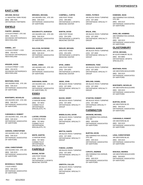# **EAST LYME**

# 11 INDUSTRIL PARK ROAD 889-7345 (860) ORTHOPEDIC PARTNERS **ARCAND, NICOLE**

# **ENFIELD**

#### **FANTRY, AMANDA**

113 ELM STREET, STE 302 253-0276 (860) ADVANCED ORTHOPEDICS NEW ENGLAND

# 113 ELM STREET # 203 253-0276 (860) **KIMMEL, JAY**

ADVANCED ORTHOPEDICS NEW ENGLAND

# **KRUGER, DAVID**

113 ELM STREET # 203 253-0276 (860) ADVANCED ORTHOPEDICS NEW ENGLAND

#### 100 HAZARD AVE., STE 205 549.3210 (860) ORTHOPEDIC ASSOCIATES OF HARTFORD **BENTHIEN, ROSS**

# **BONTEMPO, NICHOLAS**

100 HAZARD AVE., STE 205 549-3210 (860) ORTHOPEDIC ASSOCIATES OF HARTFORD

#### **CARANGELO, ROBERT**

100 HAZARD AVE., STE 205 549-3210 (860) ORTHOPEDIC ASSOCIATES OF HARTFORD

#### **JUDSON, CHRISTOPHER**

100 HAZARD AVE., STE 205 549-3210 (860) ORTHOPEDIC ASSOCIATES OF HARTFORD

# **LENA, CHRISTOPHER**

100 HAZARD AVE., STE 205 549-3210 (860) ORTHOPEDIC ASSOCIATES OF HARTFORD

# **MCDONALD, THOMAS**

7 ELM STREET 549-3210 (860) ORTHOPEDIC ASSOCIATES OF HARTFORD

100 HAZARD AVE., STE 205 549-3210 (860) ORTHOPEDIC ASSOCIATES OF HARTFORD **MIRANDA, MICHAEL**

#### 100 HAZARD AVE., STE 205 549-3210 (860) ORTHOPEDIC ASSOCIATES OF HARTFORD **NAGARKATTI, DURGESH**

100 HAZARD AVE., STE 205 549-3210 (860) ORTHOPEDIC ASSOCIATES OF HARTFORD **SULLIVAN, RAYMOND**

#### 100 HAZARD AVE., STE 205 549-3210 (860) ORTHOPEDIC ASSOCIATES OF HARTFORD **WARE, JAMES**

100 HAZARD AVE., STE 205 549-3210 (860) ORTHOPEDIC ASSOCIATES OF HARTFORD, PC **SHEKHMAN, MARK**

# **ESSEX**

#### 12 BOKUM ROAD 767-9053 (860) CONNECTICUT ORTHOPAEDIC SPECIALISTS, PC **LORENZE, MARK**

12 BOKUM ROAD 767-9053 (860) **CONNECTICUT ORTHOPAEDIC** SPECIALISTS, PC **LUSTER, STEVEN**

# 12 BOKUM ROAD 767-9053 (860) **CONNECTICUT WHITE, MARTIN**

ORTHOPAEDIC SPECIALISTS, PC

# **FAIRFIELD**

1055 POST ROAD 254-1055 (203) ORTHOPAEDIC & SPORTS MEDICINE CENTER **BOONE, PETER**

1055 POST ROAD 268-2882 (203) ORTHOPAEDIC & SPORTS MEDICINE CENTER **CAMPBELL, CURTIS**

1055 POST ROAD 254-1055 (203) ORTHOPAEDIC & SPORTS MEDICINE CENTER **MARTIN, DAVID**

1055 POST ROAD 254-1055 (203) ORTHOPAEDIC & SPORTS MEDICINE CENTER **REDLER, MICHAEL**

1055 POST ROAD 254-1055 (203) ORTHOPAEDIC & SPORTS MEDICINE CENTER **SPAK, JAMES**

305 BLACK ROAD TURNPIKE 337-2600 (203) ORTHOPAEDIC SPECIALTY **GROUP AWAD, JOHN**

305 BLACK ROCK TURNPIKE 337-2600 (203) ORTHOPAEDIC SPECIALTY **GROUP BACKE, HENRY**

#### 305 BLACK ROCK TURNPIKE 337-2600 (203) ORTHOPAEDIC SPECIALTY **GROUP BINDELGLASS, DAVID**

305 BLACK ROCK TURNPIKE 337-2600 (203) ORTHOPAEDIC SPECIALTY **GROUP BRITTIS, DANTE**

# **FABIAN, LAUREN**

305 BLACK ROCK TURNPIKE 337-2600 (203) ORTHOPAEDIC SPECIALTY **GROUP** 

#### 305 BLACK ROCK TURNPIKE 337-2600 (203) ORTHOPAEDIC SPECIALTY **GRIFFITH, CULLEN**

**GROUP** 

305 BLACK ROCK TURNPIKE 337-2600 (203) ORTHOPAEDIC SPECIALTY **GROUP KWOK, PATRICK**

# **MALIN, JOEL**

305 BLACK ROCK TURNPIKE 337-2600 (203) ORTHOPAEDIC SPECIALTY **GROUP** 

305 BLACK ROCK TURNPIKE 337-2600 (203) ORTHOPAEDIC SPECIALTY **GROUP MORRISON, MURRAY**

305 BLACK ROCK TURNPIKE 337-2600 (203) ORTHOPAEDIC SPECIALTY **GROUP MORRISON, TODD**

305 BLACK ROCK TURNPIKE 337-2600 (203) ORTHOPAEDIC SPECIALTY GROUP **WEILAND, DANIEL**

305 BLACK ROCK TURNPIKE 337-2600 (203) ORTHOPEDIC SPECIALTY **GROUP STANTON, ROBERT**

# **FARMINGTON**

499 FARMINGTON AVENUE, STE 300 549-8258 (860) ORTHOPEDIC ASSOCIATES OF HARTFORD **ARONOW, MICHAEL**

499 FARMINGTON AVENUE, STE 300 549-3210 (860) ORTHOPEDIC ASSOCIATES **BURTON, KEVIN**

OF HARTFORD

499 FARMINGTON AVENUE, STE 300 549-3210 (860) ORTHOPEDIC ASSOCIATES OF HARTFORD **CAPUTO, ANDREW**

# **ESMENDE, SEAN**

499 FARMINGTON AVENUE, STE 300 549-3210 (860) ORTHOPEDIC ASSOCIATES OF HARTFORD

#### **ZHOU, MD, HANBING**

499 FARMINGTON AVENUE, STE 300 549-3210 (860) ORTHOPEDIC ASSOCIATES OF HARTFORD

# **GLASTONBURY**

84 GLASTONBURY BLVD. 652-8883 (860) ORTHOPAEDIC SPORTS SPECIALISTS **JOYCE, MICHAEL**

**BENTHIEN, ROSS**

345 WESTERN BOULEVARD 549-3210 (860) ORTHOPEDIC ASSOCIATES OF HARTFORD

# **BONTEMPO, NICHOLAS**

345 WESTERN BOULEVARD 549-3210 (860) ORTHOPEDIC ASSOCIATES OF HARTFORD

**BURTON, KEVIN**

345 WESTERN BLVD. 549-3210 (860) ORTHOPEDIC ASSOCIATES OF HARTFORD

# **CARANGELO, ROBERT**

345 WESTERN BLVD 549-3210 (860) ORTHOPEDIC ASSOCIATES OF HARTFORD

# **LENA, CHRISTOPHER**

345 WESTERN BLVD. 549-3210 (860) ORTHOPEDIC ASSOCIATES OF HARTFORD

#### **MAKANJI, HEEREN**

345 WESTERN BOULEVARD 549-8252 (860) ORTHOPEDIC ASSOCIATES OF HARTFORD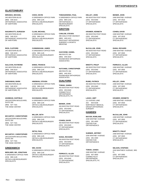# **GLASTONBURY**

# 345 WESTERN BLVD **MIRANDA, MICHAEL**

549-3210 (860) ORTHOPEDIC ASSOCIATES OF HARTFORD

# **NAGARKATTI, DURGESH**

345 WESTERN BLVD 549-3210 (860) ORTHOPEDIC ASSOCIATES OF HARTFORD

#### **RIOS, CLIFFORD**

345 WESTERN BLVD 549-3210 (860) ORTHOPEDIC ASSOCIATES OF HARTFORD

#### **SULLIVAN, RAYMOND**

345 WESTERN BLVD 549-3210 (860) ORTHOPEDIC ASSOCIATES OF HARTFORD

# 345 WESTERN BLVD **SHEKHMAN, MARK**

549-3210 (860) ORTHOPEDIC ASSOCIATES OF HARTFORD, PC

# **ASHMEAD, DUFFIELD**

195 EASTERN BOULEVARD, SUITE 200 527-7161 (860) THE HAND CENTER

# **MCCARTHY, CHRISTOPHER**

195 EASTERN BOULEVARD, SUITE 200 527-7161 (860) THE HAND CENTER

# **MCCARTHY, CHRISTOPHER**

195 EASTERN BOULEVARD, SUITE 200 527-7161 (860) THE HAND CENTER

# **GREENWICH**

# **BERLINER, MD, JONATHAN**

6 GREENWICH OFFICE PARK 869-1145 (203) ORTHO & NEUROSURGERY SPECIALISTS

# 6 GREENWICH OFFICE PARK 869-1145 (203) ORTHO & NEUROSURGERY SPECIALISTS **CHOO, KEVIN**

6 GREENWICH OFFICE PARK 869-1145 (203) ORTHO & NEUROSURGERY SPECIALISTS **CLAIN, MICHAEL**

#### 6 GREENWICH OFFICE PARK 869-1145 (203) ORTHO & NEUROSURGERY SPECIALISTS **CUNNINGHAM, JAMES**

6 GREENWICH OFFICE PARK 869-1145 (203) ORTHO & NEUROSURGERY SPECIALISTS **ENNIS, FRANCIS**

6 GREENWICH OFFICE PARK 869-1145 (203) ORTHO & NEUROSURGERY SPECIALISTS **HINDMAN, STEVEN**

#### 6 GREENWICH OFFICE PARK 869-1145 (203) ORTHO & NEUROSURGERY SPECIALISTS **KAVANAGH, BRIAN**

#### 6 GREENWICH OFFICE PARK 869-1145 (203) ORTHO & NEUROSURGERY SPECIALISTS **MILLER, SETH**

# **SETHI, PAUL**

6 GREENWICH OFFICE PARK 869-1145 (203) ORTHO & NEUROSURGERY SPECIALISTS

#### 6 GREENWICH OFFICE PARK 869-1145 (203) ORTHO & NEUROSURGERY SPECIALISTS **WEI, DAVID**

6 GREENWICH OFFICE PARK 869-1145 (203) ORTHOPAEDIC & **NEUROSURGERY TOMASZEWSKI, PAUL**

# SPECIALISTS **GROTON**

495 GOLD STAR HIGHWAY 449-1413 (860) SEACOAST ORTHOPEDIC SURGERY & SPORTS MEDICINE **CARLOW, STEVEN**

#### 489 ROUTE 184 449-1810 (860) SOUNDVIEW ORTHOPEDIC **ASSOCIATES GACCIONE, DANIEL**

489 ROUTE 184 449-1810 (860) SOUNDVIEW ORTHOPEDIC ASSOCIATES **HUTCHINS, CHRISTOPHER**

# **GUILFORD**

450 BOSTON POST ROAD 453-6340 (203) CONNECTICUT ORTHOPAEDIC SPECIALISTS, PC **TOMAK, SANDA**

#### 450 BOSTON POST ROAD 453-6340 (203) CT ORTHOPAEDIC SPECIAL ISTS **BEINER, JOHN**

450 BOSTON POST ROAD 453-6340 (203) CT ORTHOPAEDIC SPECIAL ISTS **COHEN, DAVID**

#### 450 BOSTON POST ROAD 453-6340 (203) CT ORTHOPAEDIC SPECIALISTS **DIANA, RICHARD**

450 BOSTON POST ROAD 453-6340 (203) CT ORTHOPAEDIC SPECIALISTS **FERRUCCI, ALLEN**

#### 450 BOSTON POST ROAD 453-6340 (203) CT ORTHOPAEDIC SPECIALISTS **KELLEY, JOHN**

**KRAMER, KENNETH**

450 BOSTON POST ROAD 453-6340 (203) CT ORTHOPAEDIC SPECIALISTS

450 BOSTON POST ROAD 453-6340 (203) CT ORTHOPAEDIC SPECIAL ISTS **McCALLUM, JOHN**

#### 450 BOSTON POST ROAD 453-6340 (203) CT ORTHOPAEDIC SPECIALISTS **MINOTTI, PHILIP**

450 BOSTON POST ROAD 453-6340 (203) CT ORTHOPAEDIC SPECIALISTS **RUWE, PATRICK**

#### 111 GOOSE LANE 843-9108 NORTHEAST MEDICAL GROUP-ORTHOPEDIC **SURGERY** 203 **LAHAV, AMIT**

# **HAMDEN**

#### 2200 WHITNEY AVENUE 281-4400 (203) CENTER FOR **ORTHOPAEDICS MAYOR, ROWLAND**

#### **SUMNER, JEFFREY**

2200 WHITNEY AVENUE 281-4400 (203) CENTER FOR **ORTHOPAEDICS** 

# **TOMAK, SANDA**

2408 WHITNEY AVENUE 407-3500 (203) **CONNECTICUT** ORTHOPAEDIC SPECIALISTS, PC

# **BEINER, JOHN**

2408 WHITNEY AVENUE 407-3516 (203) CT ORTHOPAEDIC SPECIALISTS

# **COHEN, DAVID**

2408 WHITNEY AVENUE 407-3518 (203) CT ORTHOPAEDIC SPECIALISTS

# **DIANA, RICHARD**

2408 WHITNEY AVENUE 407-3505 (203) CT ORTHOPAEDIC SPECIALISTS

# **FERRUCCI, ALLEN**

2408 WHITNEY AVENUE 407-3505 (203) CT ORTHOPAEDIC SPECIALISTS

2408 WHITNEY AVENUE 407-3505 (203) CT ORTHOPAEDIC SPECIALISTS **KELLEY, JOHN**

2408 WHITNEY AVENUE 407-3530 (203) CT ORTHOPAEDIC SPECIALISTS **KRAMER, KENNETH**

# **McCALLUM, JOHN**

2408 WHITNEY AVENUE 407-3505 (203) CT ORTHOPAEDIC SPECIALISTS

# **MINOTTI, PHILIP**

2408 WHITNEY AVENUE 407-3505 (203) CT ORTHOPAEDIC SPECIALISTS

#### **NELSON, STEPHEN**

2416 WHITNESY AVENUE, 3RD FL 407-3565 (203) CT ORTHOPAEDIC SPECIALISTS

# ORTHOPAEDISTS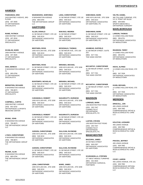# **HAMDEN**

#### 2416 WHITNEY AVENYE, 3RD FLOOR 407-3500 (203) CT ORTHOPAEDIC SPECIALISTS **PADEGIMAS, ERIC**

#### **RUWE, PATRICK**

2408 WHITNEY AVENUE 407-3534 (203) CT ORTHOPAEDIC SPECIALISTS

2408 WHITNEY AVENUE **SCANLAN, MARK**

407-3505 (203) CT ORTHOPAEDIC SPECIALISTS

9 WASHINGTON AVENUE - 1ST **SHIA, DERECK**

FL 865-6784 (203) CT ORTHOPAEDIC SPECIALISTS

**BERNSTEIN, RICHARD**

9 WASHINGTON AVENUE 789-8873 (203) CT ORTHOPEDIC SPECIAL ISTS

#### **CAMPBELL, CURTIS**

2408 WHITNEY AVENUE 601-5232 (203) ORTHOPAEDIC & SPORTS MEDICINE CENTER

**IRVING, JOHN**

9 WASHINGTON AVENUE 789-8873 (203) THE ORTHOPAEDIC GROUP  $\sqcup$  C

**LYNCH, CHRISTOPHER**

9 WASHINGTON AVENUE 789-8873 (203) THE ORTHOPAEDIC GROUP LLC

# **REZNIK, ALAN**

9 WASHINGTON AVENUE 865-6784 (203) THE ORTHOPAEDIC GROUP LLC

9 WASHINGTON AVENUE 865-6784 (203) THE ORTHOPAEDIC GROUP  $\Box$ C **WIJESEKERA, SHIRVINDA**

# **HARTFORD**

31 SEYMOUR STREET, STE 100 549-3210 (860) ORTHOPEDIC ASSOCIATES OF HARTFORD **ALLEN, DONALD**

1000 ASYLUM AVE., STE 3208 549-3210 (860) ORTHOPEDIC ASSOCIATES OF HARTFORD **BENTHIEN, ROSS**

31 SEYMOUR STREET, STE 100 549-3210 (860) ORTHOPEDIC ASSOCIATES OF HARTFORD **BENTHIEN, ROSS**

31 SEYMOUR STREET, STE 100 549-3210 (860) ORTHOPEDIC ASSOCIATES OF HARTFORD **BONTEMPO, NICHOLAS**

1000 ASYLUM AVE., STE 3208 549-3210 (860) ORTHOPEDIC ASSOCIATES OF HARTFORD **CARANGELO, ROBERT**

31 SEYMOUR STREET, STE 100 549-3210 (860) ORTHOPEDIC ASSOCIATES OF HARTFORD **CARANGELO, ROBERT**

1000 ASYLUM AVE., STE 3208 549-3210 (860) ORTHOPEDIC ASSOCIATES OF HARTFORD **JUDSON, CHRISTOPHER**

31 SEYMOUR STREET, STE 100 549-3210 (860) ORTHOPEDIC ASSOCIATES OF HARTFORD **JUDSON, CHRISTOPHER**

1000 ASYLUM AVE., STE 3208 549-3210 (860) ORTHOPEDIC ASSOCIATES OF HARTFORD **LENA, CHRISTOPHER**

549-3210 (860) **LENA, CHRISTOPHER**

31 SEYMOUR STREET 549-3210 (860)

**MAKANJI, HEEREN**

OF HARTFORD

549-3210 (860)

OF HARTFORD

549-3210 (860)

**MIRANDA, MICHAEL**

OF HARTFORD

549-3210 (860)

**MIRANDA, MICHAEL**

OF HARTFORD

549-3210 (860)

OF HARTFORD

549-3210 (860)

OF HARTFORD

549-3210 (860)

OF HARTFORD

549-3210 (860)

OF HARTFORD

549-3210 (860)

**WARE, JAMES**

OF HARTFORD

ORTHOPEDIC ASSOCIATES

31 SEYMOUR AVE., STE 100

**MCDONALD, THOMAS**

ORTHOPEDIC ASSOCIATES

1000 ASYLUM AVE., STE 3208

ORTHOPEDIC ASSOCIATES

31 SEYMOUR STREET, STE 100

ORTHOPEDIC ASSOCIATES

1000 ASYLUM AVE., STE 3208

**NAGARKATTI, DURGESH**

ORTHOPEDIC ASSOCIATES

31 SEYMOUR STREET, STE 100

ORTHOPEDIC ASSOCIATES

1000 ASYLUM AVE. STE 3208

**SULLIVAN, RAYMOND**

**SULLIVAN, RAYMOND**

ORTHOPEDIC ASSOCIATES

31 SEYMOUR STREET, STE 100

ORTHOPEDIC ASSOCIATES

1000 ASYLUM AVE., STE 3208

ORTHOPEDIC ASSOCIATES

**NAGARKATTI, DURGESH**

31 SEYMOUR STREET, STE 100 ORTHOPEDIC ASSOCIATES OF HARTFORD

1000 ASYLUM AVE., STE 3208 549-3210 (860) ORTHOPEDIC ASSOCIATES OF HARTFORD, PC

**SHEKHMAN, MARK**

31 SEYMOUR STREET, STE 100 549-3210 (860) ORTHOPEDIC ASSOCIATES OF HARTFORD, PC **SHEKHMAN, MARK**

31 SEYMOUR STREET, SUITE 203 527-7161 (860) THE HAND CENTER **ASHMEAD, DUFFIELD**

31 SEYMOUR STREET, SUITE 203 527-7161 (860) THE HAND CENTER **MCCARTHY, CHRISTOPHER**

**MCCARTHY, CHRISTOPHER**

31 SEYMOUR STREET, SUITE 203 527-7161 (860) THE HAND CENTER

# **MADISON**

1353 BOSTON POST ROAD 245-7447 (203) **CONNECTICUT ORTHOPAEDIC** SPECIALISTS, PC **LORENZE, MARK**

1353 BOSTON POST ROAD 245-7447 (203) CONNECTICUT ORTHOPAEDIC SPECIALISTS, PC **LUSTER, STEVEN**

# **MANCHESTER**

29 HAYNES STREET 649-2267 (860) ORTHOPEDIC ASSOCIATES OF HARTFORD **MAZZARA, JAMES**

**SCARANGELLA, STEPHEN**

277 WEST MIDDLE TURNPIKE 432-4640 (860) ORTHOPEDIC SURGICAL PARTNERS

# **VELTRI, DANIEL**

360 TOLLAND TURNPIKE, STE. 3-C E. POINT OFF BLDG 649-0063 (860) SPORTS MEDICINE & ORTHOPEDIC SURGERY

# **MARLBOROUGH**

14 JONES HOLLOW ROAD 295-8751 (860) ORTHOPAEDIC ASSOCIATES OF MIDDLETOWN **LARSON, THOMAS**

**REARDON, TERRY**

14 JONES HOLLOW ROAD 295-8751 (860) ORTHOPAEDIC ASSOCIATES OF MIDDLETOWN

14 JONES HOLLOW ROAD, STE 5 347-7636 (860) ORTHOPEDIC ASSOCIATES OF MIDDLETOWN **HICKS, ALFRED**

14 JONES HOLLOW ROAD, STE 5 347-7636 (860) ORTHOPEDIC ASSOCIATES OF MIDDLETOWN **KUHN, MICHAEL**

# **MERIDEN**

455 LEWIS AVENUE 639-7992 (203) COMPREHENSIVE ORTHO & MUSCULOSKELETAL CARE  $\overline{L}$ **DRISCOLL, JON**

# **KOLSTAD, LEONARD**

455 LEWIS AVENUE 639-7992 (203) COMPREHENSIVE ORTHO & MUSCULOSKELETAL CARE  $\overline{L}$ 

**PRAVDA, JEFFREY**

455 LEWIS AVENUE 639-7992 (203) COMPREHENSIVE ORTHO & MUSCULOSKELETAL CARE  $\sqcup$  C

**COVEY, AARON**

455 LEWIS AVENUE, STE 101 639-7992 (203) COMPREHENSIVE ORTHO& MUSCULOSKELETAL CARE, LLC

# ORTHOPAEDISTS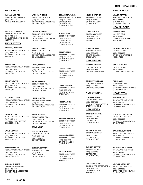# **MIDDLEBURY**

1579 STRAITS TURNPIKE 758-1272 (203) ACTIVE ORTHOPAEDICS **KAPLAN, MICHAEL**

# **RAFTERY, CHARLES**

1579 STRAIT'S TURNPIKE 758-2003 (203) CONNECTICUT SPINE & DISC **INSTITUTE** 

# **MIDDLETOWN**

430 SAYBROOK ROAD, STE 100 **BERSON, LAWRENCE**

685-8940 (860) MIDDLESEX ORTHOPEDIC SURGEONS

#### **BLOOM, LEE**

430 SAYBROOK ROAD, STE 100 685-8940 (860) MIDDLESEX ORTHOPEDIC SURGEONS

#### 430 SAYBROOK ROAD. STE 100 685-8940 (860) MIDDLESEX ORTHOPEDIC **HERGAN, DAVID**

**SURGEONS** 

#### **O DONNELL, SEAN**

430 SAYBROOK ROAD, STE 100 685-8940 (860) MIDDLESEX ORTHOPEDIC SURGEONS

#### **SOHN, JOSEPH**

685-8940 (860) MIDDLESEX ORTHOPEDIC SURGEONS, P.C.

685-8940 (860) MIDDLESEX ORTHOPEDIC SURGEONS, P.C.

453-5289 (203)

OF MIDDLETOWN

**LARSON, THOMAS**

**WASTERLAIN, AMY**

**WALSH, JAMES**

430 SAYBROOK ROAD, STE 100 685-8940 (860) MIDDLESEX ORTHOPEDIC SURGEONS, P.C.

430 SAYBROOK ROAD, STE 100

430 SAYBROOK ROAD, STE 100

20 COMMERCE PARK 876-1723 (203) CENTER FOR **ORTHOPAEDICS MAYOR, ROWLAND**

#### 20 COMMERCE PARK 876-1723 (203) CENTER FOR **ORTHOPAEDICS SUMNER, JEFFREY**

258 SOUTH BROAD STREET 877-5522 (203) **SCHACHTER, AARON**

CONNECTICUT ORTHOPAEDIC SPECIALISTS, PC

258 BROAD STREET 882-3373 (203) CONNECTICUT ORTHOPAEDIC SPECIALISTS, PC **TOMAK, SANDA**

258 BROAD STREET 882-3373 (203) CT ORTHOPAEDIC SPECIALISTS **BEINER, JOHN**

258 BROAD STREET 882-3373 (203) CT ORTHOPAEDIC SPECIALISTS **COHEN, DAVID**

258 BROAD STREET 882-3373 (203) **DIANA, RICHARD**

258 BROAD STREET 882-3373 (203) CT ORTHOPAEDIC **McCALLUM, JOHN**

258 BROAD STREET 407-3565 (203) CT ORTHOPAEDIC SPECIALISTS **NELSON, STEPHEN**

258 BROAD STREET 882-3373 (203) CT ORTHOPAEDIC SPECIALISTS **RUWE, PATRICK**

250 BROAD STREET 882-3373 (203) CT ORTHOPAEDIC SPECIAL ISTS **SCANLAN, MARK**

# **NEW BRITAIN**

ONE LAKE STREET, BLDG D 832-4666 (860) STARLING PHYSICIANS **BELNIAK, ROBERT**

ONE LAKE STREET, BLDG D 832-4666 (860) STARLING PHYSICIANS **SCARLETT, RICHARD**

# **NEW CANNAN**

166 CHERRY STREET 323-7331 (203) ORTHOPAEDIC SURGERY & SPORTS MEDICINE **BRODSKY, ADAM**

# **NEW HAVEN**

60 TEMPLE STREET 562-2663 (203) CENTER FOR ORTHOPAEDICS **DAIGNEAULT, JOHN**

#### **MAYOR, ROWLAND**

60 TEMPLE STREET 562-2663 (203) CENTER FOR **ORTHOPAEDICS** 

# **SUMNER, JEFFREY**

60 TEMPLE STREET 562-2663 (203) CENTER FOR ORTHOPAEDICS

#### **McCALLUM, JOHN**

330 ORCHARD STREET, STE 10 789-2211 (203) CT ORTHOPAEDIC SPECIALISTS

# **ORTHOPAEDISTS**

# **NEW LONDON**

6 SHAWS COVE STE 101 444-9022 (860) SHAWS COVE ORTHOPAEDICS LLC **MILLER, JEFFREY**

# **NEW MILFORD**

131 KENT ROAD 355-8000 (860) DANBURY ORTHOPEDIC ASSOCIATES **MULLEN, JOHN**

131 KENT ROAD 355-8000 (860) DANBURY ORTHOPEDIC ASSOCIATES **YAGHOUBIAN, ROBERT**

131 KENT ROAD 355-8000 (860) ORTHOCONNECTICUT, PC **GANAL, EDMUND**

2 OLD PARK LANE 210-2273 (860) ORTHOPARDIC SPECIALISTS OF CONNECTICUT **FISH, DANIEL**

# **NEWINGTON**

505 WILLARD AVE., STE C 549-3210 (860) ORTHOPEDIC ASSOCIATES OF HARTFORD **BENTHIEN, ROSS**

# **BONTEMPO, NICHOLAS**

505 WILLARD AVE., STE C 549-3210 (860) ORTHOPEDIC ASSOCIATES OF HARTFORD

505 WILLARD AVENUE, STE C 549-3210 (860) ORTHOPEDIC ASSOCIATES OF HARTFORD **CARANGELO, ROBERT**

**JUDSON, CHRISTOPHER**

505 WILLARD AVE., STE C 549-3210 (860) ORTHOPEDIC ASSOCIATES OF HARTFORD

# **LENA, CHRISTOPHER**

505 WILLARD AVE., STE C 549-3210 (860) ORTHOPEDIC ASSOCIATES OF HARTFORD

ORTHOPAEDIC ASSOCIATES

211 SOUTH MAIN STREET

512 SAYBROOK ROAD 347-7636 (860) ORTHOPEDIC ASSOCIATES OF MIDDLETOWN **MILFORD**

# 211 SOUTH MAIN STREET 347-7636 (860) ORTHOPEDIC ASSOCIATES OF MIDDLETOWN

**KUHN, MICHAEL**

**KUHN, MICHAEL**

512 SAYBROOK ROAD 347-7636 (860)

**LARSON, THOMAS**

OF MIDDLETOWN

**REARDON, TERRY**

295-8751 (860)

OF MIDDLETOWN

**REARDON, TERRY**

512 SAYBROOK ROAD 347-7636 (860)

OF MIDDLETOWN

**HICKS, ALFRED**

ORTHOPAEDIC ASSOCIATES

211 SOUTH MAIN STREET

ORTHOPAEDIC ASSOCIATES

ORTHOPAEDIC ASSOCIATES

211 SOUTH MAIN STREET 347-7636 (860)

ORTHOPEDIC ASSOCIATES OF MIDDLETOWN

512 SAYBROOK ROAD 347-7636 (860)

**HICKS, ALFRED**

ORTHOPEDIC ASSOCIATES OF MIDDLETOWN

CT ORTHOPAEDIC SPECIAL ISTS 258 BROAD STREET 882-3373 (203) **KELLEY, JOHN**

CT ORTHOPAEDIC SPECIAL ISTS

258 BROAD STREET **KRAMER, KENNETH**

882-3373 (203) CT ORTHOPAEDIC SPECIAL ISTS

SPECIALISTS

258 BROAD STREET 882-3373 (203) CT ORTHOPAEDIC SPECIALISTS **MINOTTI, PHILIP**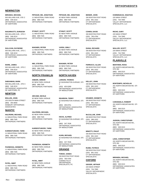# **NEWINGTON**

#### 505 WILLARD AVE, STE C **MIRANDA, MICHAEL**

549-3210 (860) ORTHOPEDIC ASSOCIATES OF HARTFORD

#### **NAGARKATTI, DURGESH**

505 WILLARD AVE., STE C 549-3210 (860) ORTHOPEDIC ASSOCIATES OF HARTFORD

**SULLIVAN, RAYMOND**

505 WILLARD AVE., STE C 549-3210 (860) ORTHOPEDIC ASSOCIATES OF HARTFORD

505 WILLARD AVE., STE C 549-3210 (860) ORTHOPEDIC ASSOCIATES OF HARTFORD **WARE, JAMES**

505 WILLARD AVE., STE C 549-3210 (860) ORTHOPEDIC ASSOCIATES OF HARTFORD, PC **SHEKHMAN, MARK**

# **NEWTON**

153 SOUTH MAIN STREET 355-8000 (860) DANBURY ORTHOPEDIC ASSOCIATES **MULLEN, JOHN**

# **NIANTIC**

11 INDUSTRIAL PARK ROAD 889-7345 (860) ORTHOPEDIC PARTNERS **HALPERIN, MICHAEL**

11 INDUSTRIAL PARK ROAD 889-7345 (860) ORTHOPEDIC PARTNERS **KARDESTUNCER, TARIK**

11 INDUSTRIAL PARK ROAD 889-7345 (860) ORTHOPEDIC PARTNERS **PAONESSA, KENNETH**

**PATEL, NIMIT**

11 INDUSTRIAL PARK ROAD 889-7345 (860) ORTHOPEDIC PARTNERS

11 INDUSTRIAL PARK ROAD 889-7345 (860) ORTHOPEDIC PARTNERS **PIPOSAR, MD, JONATHAN**

11 INDUSTRIAL PARK ROAD 889-7345 (860) ORTHOPEDIC PARTNERS **STANAT, SCOTT**

11 INDUSTRIAL PARK ROAD 889-7345 (860) ORTHOPEDIC PARTNERS **WAGNER, PETER**

11 INDUSTRIAL PARK ROAD 889-7345 (860) ORTHOPEDIC PARTNERS **WEI, STEVEN**

# **NORTH FRANKLIN**

82 NEW PARK AVENUE 889-7345 (860) ORTHOPEDIC PARTNERS **ANBARI, AMMAR**

82 NEW PARK AVENUE 889-7345 (860) ORTHOPEDIC PARTNERS **ARCAND, NICOLE**

82 NEW PARK AVENUE 889-7345 (860) ORTHOPEDIC PARTNERS **HALPERIN, MICHAEL**

82 NEW PARK AVENUE 889-7345 (860) ORTHOPEDIC PARTNERS **KARDESTUNCER, TARIK**

82 NEW PARK AVENUE 889-7345 (860) ORTHOPEDIC PARTNERS **PAONESSA, KENNETH**

82 NEW PARK AVENUE 889-7345 (860) ORTHOPEDIC PARTNERS **PATEL, NIMIT**

82 NEW PARK AVENUE 889-7345 (860) ORTHOPEDIC PARTNERS **PIPOSAR, MD, JONATHAN**

82 NEW PARK AVENUE 889-7345 (860) ORTHOPEDIC PARTNERS **STANAT, SCOTT**

82 NEW PARK AVENUE 889-7345 (860) ORTHOPEDIC PARTNERS **VAFEK, EMILY**

82 NEW PARK AVENUE 889-7345 (860) ORTHOPEDIC PARTNERS **WAGNER, PETER**

# **NORTH HAVEN**

52 WASHINGTON AVENUE, STE 3 453-5289 (203) ORTHOPAEDIC ASSOCIATES OF MIDDLETOWN **LARSON, THOMAS**

52 WASHINGTON AVENUE, STE 3 295-8751 (860) ORTHOPAEDIC ASSOCIATES OF MIDDLETOWN **REARDON, TERRY**

52 WASHINGTON AVENUE, STE 3 347-7636 (860) ORTHOPEDIC ASSOCIATES OF MIDDLETOWN **HICKS, ALFRED**

52 WASHINGTON AVENUE, STE 3 347-7636 (860) **KUHN, MICHAEL**

ORTHOPEDIC ASSOCIATES OF MIDDLETOWN

# **ORANGE**

330 BOSTON POST ROAD 795-4784 (203) **CONNECTICUT** ORTHOPAEDIC SPECIALISTS, PC **TOMAK, SANDA**

330 BOSTON POST ROAD 891-1022 (203) CT ORTHOPAEDIC SPECIALISTS **BEINER, JOHN**

330 BOSTON POST ROAD 795-4784 (203) CT ORTHOPAEDIC SPECIALISTS **COHEN, DAVID**

330 BOSTON POST ROAD 891-1022 (203) CT ORTHOPAEDIC SPECIALISTS **DIANA, RICHARD**

330 BOSTON POST ROAD 891-1022 (203) CT ORTHOPAEDIC SPECIALISTS **FERRUCCI, ALLEN**

330 BOSTON POST ROAD 891-1022 (203) CT ORTHOPAEDIC SPECIALISTS **KELLEY, JOHN**

330 BOSTON POST ROAD 891-1022 (203) CT ORTHOPAEDIC SPECIALISTS **KRAMER, KENNETH**

330 BOSTON POST ROAD 389-1022 (203) CT ORTHOPAEDIC SPECIALISTS **McCALLUM, JOHN**

330 BOSTON POST ROAD 891-1022 (203) CT ORTHOPAEDIC SPECIALISTS **MINOTTI, PHILIP**

330 BOSTON POST ROAD 891-1022 (203) CT ORTHOPAEDIC SPECIALISTS **RUWE, PATRICK**

# **OXFORD**

220 MAIN STREET **GEIGER, ARTHUR**

734-7900 (203) VALLEY ORTHOPAEDIC SPECIALISTS

220 MAIN STREET **KOMNINAKAS, IGNATIUS**

734-7900 (203) VALLEY ORTHOPAEDIC SPECIALISTS, LLC

220 MAIN STREET 734-7900 (203) VALLEY ORTHOPAEDIC SPECIALISTS, LLC **RICHO, GARY**

**WALLER, SCOTT**

220 MAIN STREET 734-7900 (203) VALLEY ORTHOPAEDIC SPECIALISTS, LLC

# **PLAINVILLE**

# **BENTHIEN, ROSS**

201 NORTH MOUNTAIN RD., STE 302 549-3210 (860) ORTHOPEDIC ASSOCIATES OF HARTFORD

201 NORTH MOUNTAIN RD. STI 302 549-3210 (860) ORTHOPEDIC ASSOCIATES OF HARTFORD **BONTEMPO, NICHOLAS**

#### **CARANGELO, ROBERT**

201 NORTH MOUNTIAN RD. STI 302 549-3210 (860) ORTHOPEDIC ASSOCIATES OF HARTFORD

#### **JUDSON, CHRISTOPHER**

201 NORTH MOUNTAIN RD., STE 302 549-3210 (860) ORTHOPEDIC ASSOCIATES OF HARTFORD

#### **LENA, CHRISTOPHER**

201 NORTH MOUNTAIN RD., STE 302 549-3210 (860) ORTHOPEDIC ASSOCIATES OF HARTFORD

**MIRANDA, MICHAEL**

201 NORTH MOUNTAIN RD., STE 302 549-3210 (860) ORTHOPEDIC ASSOCIATES OF HARTFORD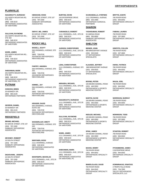# **PLAINVILLE**

#### 201 NORTH MOUNTAIN RD. **NAGARKATTI, DURGESH**

STF 302 549-3210 (860) ORTHOPEDIC ASSOCIATES OF HARTFORD

#### **SULLIVAN, RAYMOND**

201 NORTH MOUNTAIN RD., STE 302 549-3210 (860) ORTHOPEDIC ASSOCIATES OF HARTFORD

201 NORTH MOUNTAIN RD., STE 302 549-3210 (860) ORTHOPEDIC ASSOCIATES OF HARTFORD **WARE, JAMES**

#### **SHEKHMAN, MARK**

201 NORTH MOUNTAIN RD., STE 302 549-3210 (860) ORTHOPEDIC ASSOCIATES OF HARTFORD, PC

# **PUTNAM**

# **CHOKSHI, BIREN**

35 KENNEDY DR 963-2133 (860) ORTHOPEDIC PARTNERS

#### **GEORGE, DANIEL**

35 KENNEDY DR 963-2133 (860) ORTHOPEDIC PARTNERS

# **RIDGEFIELD**

# 90 GROVE STREET, STE 107 **BRAND, MICHAEL**

(203) 797-1500 DANBURY ORTHOPEDIC ASSOCIATES

# **DEVENEY, ROBERT**

10 SOUTH STREET (203) 797-1500 DANBURY ORTHOPEDIC ASSOCIATES

# **DIGIOVANNI, JOSEPH**

10 SOUTH STREET (203) 797-1500 DANBURY ORTHOPEDIC ASSOCIATES

90 GROVE STREET, STE 107 (203) 797-1500 DANBURY ORTHOPEDIC ASSOCIATES **HENSHAW, ROSS**

#### 90 GROVE STREET, STE 107 (203) 797-1500 ORTHO CONNECTICUT **DEPUY, MD, JAMES**

# **ROCKY HILL**

506 CROMWELL AVENUE, STE 102 728-6740 (860) ADVANCED ORTHOPEDICS NEW ENGLAND **BISSELL, SCOTT**

506 CROMWELL AVENUE, STE 102 728-6740 (860) ADVANCED ORTHOPEDICS NEW ENGLAND **FANTRY, AMANDA**

# **KIMMEL, JAY**

506 CROMWELL AVENUE, STE 102 728-6740 (860) ADVANCED ORTHOPEDICS NEW ENGLAND

# **KRUGER, DAVID**

506 CROMWELL AVENUE, SUITE 102 728-6740 (860) ADVANCED ORTHOPEDICS NEW ENGLAND

# 506 CROMWELL AVENUE, STE 102 728-6740 (860) **WASSERLAUF, BRETT**

ADVANCED ORTHOPEDICS NEW ENGLAND

# **BENTHIEN, ROSS**

1111 CROMWELL AVENUE 549-3210 (860) ORTHOPEDIC ASSOCIATES OF HARTFORD

# 1111 CROMWELL AVE., STE 30 549-3210 (860) **BONTEMPO, NICHOLAS**

ORTHOPEDIC ASSOCIATES OF HARTFORD

# **BURTON, KEVIN**

150 ENTERPRISE DRIVE 549-3210 (860) ORTHOPEDIC ASSOCIATES OF HARTFORD

1111 CROMWELL AVE., STE 30 549-3210 (860) ORTHOPEDIC ASSOCIATES OF HARTFORD **CARANGELO, ROBERT**

1111 CROMWELL AVE., STE 30 549-3210 (860) ORTHOPEDIC ASSOCIATES OF HARTFORD **JUDSON, CHRISTOPHER**

1111 CROMWELL AVENUE, STE 301 549-3210 (860) ORTHOPEDIC ASSOCIATES **LENA, CHRISTOPHER**

# **MIRANDA, MICHAEL**

1111 CROMWELL AVE., STE 30 549-3210 (860) ORTHOPEDIC ASSOCIATES

549-3210 (860) ORTHOPEDIC ASSOCIATES **NAGARKATTI, DURGESH**

1111 CROMWELL AVE., STE 30 549-3210 (860) ORTHOPEDIC ASSOCIATES OF HARTFORD

1111 CROMWELL AVE., STE 30 549-3210 (860) ORTHOPEDIC ASSOCIATES OF HARTFORD **WARE, JAMES**

1111 CROMWELL AVE., STE 30 549-3210 (860) ORTHOPEDIC ASSOCIATES OF HARTFORD, PC **SHEKHMAN, MARK**

# **SCARANGELLA, STEPHEN**

1111 CROMWELL AVENUE 525-4469 (860) ORTHOPEDIC SURGICAL PARTNERS

# **SHARON**

50 AMENIA ROAD 355-8000 (860) DANBURY ORTHOPEDIC ASSOCIATES **YAGHOUBIAN, ROBERT**

# **SHELTON**

889 BRIDGEPORT AVENUE 453-6340 (203) CT ORTHOPAEDIC SPECIAL ISTS **BEINER, JOHN**

 889 BRIDGEPORT AVENUE 538-0020 (203) CT ORTHOPAEDIC SPECIALISTS **KLAUSER, JEFFREY**

100 BEARD SAWMILL ROAD 445-5550 (203) ORTHOPAEDIC & SPORTS MEDICINE CENTER **BOONE, PETER**

#### 100 BEARD SAWMILL ROAD 445-5550 (203) ORTHOPAEDIC & SPORTS MEDICINE CENTER **MARTIN, DAVID**

100 BEARD SAWMILL ROAD 445-5550 (203) ORTHOPAEDIC & SPORTS MEDICINE CENTER **REDLER, MICHAEL**

100 BEARD SAWMILL ROAD 445-5550 (203) ORTHOPAEDIC & SPORTS MEDICINE CENTER **SPAK, JAMES**

**BACKE, HENRY**

760 RIVER ROAD 944-0042 (203) ORTHOPAEDIC SPECIALTY **GROUP** 

# **BINDELGLASS, DAVID**

760 RIVER ROAD 944-0042 (203) ORTHOPAEDIC SPECIALTY GROUP

#### 760 RIVER ROAD **BRITTIS, DANTE**

944-0042 (203) ORTHOPAEDIC SPECIALTY GROUP

# **FABIAN, LAUREN**

760 RIVER ROAD 337-2600 (203) ORTHOPAEDIC SPECIALTY **GROUP** 

# **GRIFFITH, CULLEN**

760 RIVER ROAD 337-2600 (203) ORTHOPAEDIC SPECIALTY **GROUP** 

# **KWOK, PATRICK**

760 RIVER ROAD 944-0042 (203) ORTHOPAEDIC SPECIALTY **GROUP** 

760 RIVER ROAD 944-0042 (203) ORTHOPAEDIC SPECIALTY **GROUP MALIN, JOEL**

760 RIVER ROAD 944-0042 (203) ORTHOPAEDIC SPECIALTY **GROUP MORRISON, MURRAY**

# **MORRISON, TODD**

760 RIVER ROAD 337-2600 (203) ORTHOPAEDIC SPECIALTY **GROUP** 

**STANTON, ROBERT**

760 RIVER ROAD 944-0042 (203) ORTHOPAEDIC SPECIALTY **GROUP** 

#### **FITZGIBBONS, JAMES**

2 ENTERPRISE DRIVE 944-0042 (203) ORTHOPEDIC SPECIALTY **GROUP** 

**KOMNINAKAS, IGNATIUS**

2 TRAPS FALLS ROAD 734-7900 (203) VALLEY ORTHOPAEDIC SPECIALISTS, LLC

OF HARTFORD

OF HARTFORD

1111 CROMWELL AVE., STE 30 OF HARTFORD

**SULLIVAN, RAYMOND**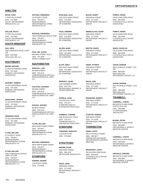# **SHELTON**

2 TRAP FALLS ROAD 734-7900 (203) VALLEY ORTHOPAEDIC SPECIALISTS, LLC **RICHO, GARY**

#### **WALLER, SCOTT**

2 TRAP FALLS ROAD 734-7900 (203) VALLEY ORTHOPAEDIC SPECIALISTS, LLC

# **SOUTH WINDSOR**

2800 TAMARACK ROAD, SUITE 106 644-5900 (860) VIPUL DUA, MD, LLC. **DUA, VIPUL**

# **SOUTHBURY**

#### **BRAND, MICHAEL**

22 OLD WATERBURY ROAD (203) 797-1500 DANBURY ORTHOPEDIC ASSOCIATES

#### **DEVENEY, ROBERT**

22 OLD WATERBURY ROAD (203) 797-1500 DANBURY ORTHOPEDIC ASSOCIATES

#### **DIGIOVANNI, JOSEPH**

22 OLD WATERBURY ROAD (203) 797-1500 DANBURY ORTHOPEDIC ASSOCIATES

#### **HENSHAW, ROSS**

22 OLD WATERBURY ROAD (203) 797-1500 DANBURY ORTHOPEDIC ASSOCIATES

#### **FLYNN, WILLIAM**

22 POVERTY ROAD 755-6677 (203) NEUROSURGERY, ORTHOPAEDICS & SPINE SPECIALISTS, P.C.

#### **FLYNN, WILLIAM**

TWO POMPERAUG OFFICE PARK, STE 308 755-6677 (203) **NEUROSURGERY** ORTHOPAEDICS & SPINE SPECIALISTS, P.C.

22 POVERTY ROAD 755-6677 (203) NEUROSURGERY, ORTHOPAEDICS & SPINE SPECIALISTS, PC **WATSON, FREDERICK**

TWO POMERAUG OFFICE PARI 755-6677 (203) NEUROSURGERY, ORTHOPAEDICS & SPINE SPECIALISTS, PC **WATSON, FREDERICK**

900 MAIN STREET, BLD 3 (203) 797-1500 ORTHO CONNECTICUT **PAUL, MD, JUSTIN**

#### **SOUTHINGTON**

98 MAIN STREET 329-0115 (860) COMPREHENSIVE ORTHO & MUSCULOSKELETAL CARE LLC **DRISCOLL, JON**

98 MAIN STREET 329-0115 (860) COMPREHENSIVE ORTHO & MUSCULOSKELETAL CARE LLC **KOLSTAD, LEONARD**

98 MAIN STREET 329-0115 (860) COMPREHENSIVE ORTHO & MUSCULOSKELETAL CARE LLC **PRAVDA, JEFFREY**

# 360-8 NORTH MAIN STREET 755-6677 (203) **FLYNN, WILLIAM**

NEUROSURGERY, ORTHOPAEDICS & SPINE SPECIALISTS, P.C.

#### **WATSON, FREDERICK**

360-8 NORTH MAIN STREET 755-6677 (203) NEUROSURGERY, ORTHOPAEDICS & SPINE SPECIALISTS, PC

#### **STAMFORD**

1 BLACHLEY ROAD (203) 276-8484 **SHARMA, KRISHN**

1281 EAST MAIN STREET (203) 210-2830 ORTHOPAEDIC ASSOCIATES OF STAMFORD **GITELMAN, ALEX**

1281 EAST MAIN STREET (203) 210-2830 ORTHOPAEDIC ASSOCIATES OF STAMFORD **HAAS, ANDREW**

1281 EAST MAIN STREET (203) 210-2830 ORTHOPAEDIC ASSOCIATES OF STAMFORD **SILVER, MARC**

2181 EAST MAIN STREET (203) 210-2830 ORTHOPAEDIC ASSOCIATES OF STAMFORD **SLATE, EMILY**

1290 SUMMER STREET 323-7331 (203) ORTHOPAEDIC SURGERY & SPORTS MEDICINE **BRODSKY, ADAM**

1 BLANCHLEY ROAD 276-2277 (203) STAMFORD HEALTH INTEGRATED PRACTICES **DOWDLE, JOHN**

ONE BLANCHLEY ROAD 276-2277 (203) STAMFORD HEALTH INTEGRATED PRACTICES **VANBEEK, CORINNE**

# **STMAFORD**

1 BLACHLEY RD (203) 276-8484 **TADDONIO, RUDOLPH**

# **STRATFORD**

2900 MAIN STREET 386-1455 (203) ORTHOCARE SPECIALISTS **BROWN, DAVID**

2909 MAIN STREET 377-5108 (203) ORTHOPAEDIC SPECIALTY **GROUP AWAD, JOHN**

2909 MAIN STREET 377-5108 (203) ORTHOPAEDIC SPECIALTY **GROUP BACKE, HENRY**

2909 MAIN STREET 377-5108 (203) ORTHOPAEDIC SPECIALTY **GROUP BINDELGLASS, DAVID**

2909 MAIN STREET 377-5108 (203) ORTHOPAEDIC SPECIALTY **GROUP BRITTIS, DANTE**

2909 MAIN STREET 377-5108 (203) ORTHOPAEDIC SPECIALTY **GROUP KWOK, PATRICK**

2909 MAIN STREET 377-5108 (203) ORTHOPAEDIC SPECIALTY **GROUP MALIN, JOEL**

ORTHOPAEDIC SPECIALTY **MORRISON, MURRAY**

ORTHOPAEDIC SPECIALTY

# **TORRINGTON**

538 LITCHFIELD STREET 496-9877 (860) CENTER FOR ADVANCED ORTHOPAEDICS & SPORTS MEDICINE **PENNY, KEITH**

245 ALVORD PARK ROAD 482-8539 (860) LITCHFIELD HILLS ORTHO ASSOCIATES **BREZENOFF, LEIGH**

245 ALVORD PARK ROAD 482-8539 (860) LITCHFIELD HILLS ORTHO ASSOCIATES **POMPO, FRANK**

245 ALVORD PARK ROAD 482-8539 (860) LITCHFIELD HILLS ORTHO ASSOCIATES **POMPO, FRANK**

245 ALVORD PARK ROAD 482-8539 (860) LITCHFIELD HILLS ORTHO **ASSOCIATES WISCH, DOUGLAS**

538 LITCHFIELD STREET, STE 204 489-6363 (860) NEW ENGLAND ORTHOPEDIC CENTER, LLC **ZAGAR, MARIAM**

538 LITCHFIELD STREET, SUTII 204 489-6363 (860) NEW ENGLAND ORTHOPEDIC CENTER, LLC **ZAGAR, MARIAM**

# **TRUMBULL**

888 WHITE PLAINS ROAD SUITES 105 & 106 268-2882 (203) CT ORTHOPAEDIC SPECIALISTS **CAMPBELL, CURTIS**

888 WHITE PLAINS ROAD 268-2882 (203) ORTHOPAEDIC & SPORTS MEDICINE CENTER **BOONE, PETER**

888 WHITE PLAINS ROAD 626-0160 (203) ORTHOPAEDIC & SPORTS MEDICINE CENTER **CAMPBELL, CURTIS**

888 WHITE PLAINS ROAD 268-2882 (203) ORTHOPAEDIC & SPORTS MEDICINE CENTER **GIRASOLE, GERARD**

# **GROUP**

2909 MAIN STREET 377-5108 (203)

> 2909 MAIN STREET 377-5108 (203) **STANTON, ROBERT**

**GROUP**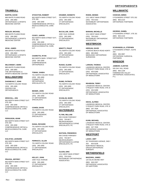#### 888 WHITE PLAINS ROAD 268-2882 (203) ORTHOPAEDIC & SPORTS MEDICINE CENTER **MARTIN, DAVID**

#### **REDLER, MICHAEL**

**TRUMBULL**

888 WHITE PLAINS ROAD 268-2882 (203) ORTHOPAEDIC & SPORTS MEDICINE CENTER

#### **SPAK, JAMES**

888 WHITE PLAINS ROAD 268-2882 (203) ORTHOPAEDIC & SPORTS MEDICINE CENTER

#### **WILCHINSKY, MARK**

888 WHITE PLAINS ROAD 268-2882 (203) THE ORTHOPAEDIC & SPORTS MEDICINE CENTER

# **WALLINGFORD**

710 NORTH COLONY ROAD 265-1800 (203) CENTER FOR **ORTHOPAEDICS DAIGNEAULT, JOHN**

#### **DRISCOLL, JON**

863 NORTH MAIN STREET EXT, STE 200 265-3280 (203) COMPREHENSIVE ORTHO & MUSCULOSKELETAL CARE LLC

#### **FERGUSON, ADAM**

863 NORTH MAIN STREET EXT, STE 200 265-3280 (203) COMPREHENSIVE ORTHO & MUSCULOSKELETAL CARE LLC

#### **KOLSTAD, LEONARD**

863 NORTH MAIN STREET EXT, STE 200 265-3280 (203) COMPREHENSIVE ORTHO & MUSCULOSKELETAL CARE  $\sqcup$  C

#### **PRAVDA, JEFFREY**

863 NORTH MAIN STREET EXT, STE 200 265-3280 (203) COMPREHENSIVE ORTHO & MUSCULOSKELETAL CARE LLC

Rev: 6/21/2022

863 NORTH MAIN STREET EXT, STE 200 265-3280 (203) COMPREHENSIVE ORTHO & MUSCULOSKELETAL CARE LLC **STOCKTON, ROBERT**

863 NORTH MAIN STREET EXT, STE 200 265-3280 (203) COMPREHENSIVE ORTHO & MUSCULOSKELETAL CARE, LLC **COVEY, AARON**

#### **CHARETTE, RYAN**

863 NORTH MAIN STREET EXT 265-3280 (203) COMPREHENSIVE **ORTHOPEDICS** 

# **TOMAK, SANDA**

701 NORTH COLONY ROAD 265-1800 (203) **CONNECTICUT** ORTHOPAEDIC SPECIALISTS, PC

#### **BEINER, JOHN**

701 NORTH COLONY ROAD 265-1800 (203) CT ORTHOPAEDIC SPECIALISTS

# 701 NORTH COLONY ROAD **COHEN, DAVID**

265-1800 (203) CT ORTHOPAEDIC SPECIALISTS

#### **DIANA, RICHARD**

701 NORTH COLONY ROAD 265-1800 (203) CT ORTHOPAEDIC SPECIALISTS

# **FERRUCCI, ALLEN**

701 NORTH COLONY ROAD 265-1800 (203) CT ORTHOPAEDIC SPECIALISTS

#### 1000 YALE AVENUE 265-1800 (203) CT ORTHOPAEDIC SPECIALISTS **KELLEY, JOHN**

701 NORTH COLONY ROAD 265-1800 (203) CT ORTHOPAEDIC **KRAMER, KENNETH**

**McCALLUM, JOHN**

SPECIALISTS

1000 YALE AVENUE 265-1800 (203) CT ORTHOPAEDIC SPECIALISTS

701 NORTH COLONY ROAD 265-1800 (203) CT ORTHOPAEDIC SPECIALISTS **MINOTTI, PHILIP**

# 701 NORTH COLONY ROAD **RUSSO, GLENN**

265-1800 (203) CT ORTHOPAEDIC SPECIALISTS

# **RUWE, PATRICK**

701 NORTH COLONY ROAD 265-1800 (203) CT ORTHOPAEDIC SPECIALISTS

#### **SCANLAN, MARK**

701 NORTH COLONY ROAD 265-1800 (203) CT ORTHOPAEDIC SPECIALISTS

# **WATERBURY**

# **FLYNN, WILLIAM**

500 CHASE PARKWAY 755-6677 (203) NEUROSURGERY, ORTHOPAEDICS & SPINE SPECIALISTS, PC

# **WATSON, FREDERICK**

500 CHASE PARKWAY 755-6677 (203) NEUROSURGERY, ORTHOPAEDICS & SPINE SPECIALISTS, PC

#### **OLSON, ERIC**

1211 WEST MAIN STREET 755-0163 (203) WATERBURY ORTHOPAEDIC ASSOCIATES

# **RODIN, DENNIS**

1211 WEST MAIN STREET 755-0163 (203) WATERBURY ORTHOPAEDIC ASSOCIATES

#### **MARIANI, MICHELLE**

1211 WEST MAIN STREET 755-0163 (203) WATERBURY ORTHOPEDIC ASSOCIATES

# **WESTBROOK**

4 GROVE BEACH ROAD NORTH 685-8940 (860) MIDDLESEX ORTHOPEDIC **SURGEONS HERGAN, DAVID**

#### **LARSON, THOMAS**

LAKEBOOK MEDICAL CENTER, 5 PEQUOT PARK ROAD, STE 20 453-5289 (203) ORTHOPAEDIC ASSOCIATES OF MIDDLETOWN

#### **REARDON, TERRY**

LAKEBOOK MEDICAL CENTER, 5 PEQUOT PARK ROAD, STE 20 453-5289 (203) ORTHOPAEDIC ASSOCIATES OF MIDDLETOWN

#### **HICKS, ALFRED**

LAKEBOOK MEDICAL CENTER, 5 PEQUOT PARK ROAD, STE 20 347-7636 (860) ORTHOPEDIC ASSOCIATES OF MIDDLFTOWN

#### **KUHN, MICHAEL**

LAKEBOOK MEDICAL CENTER, 5 PEQUOT PARK ROAD, STE 20 347-7636 (860) ORTHOPEDIC ASSOCIATES OF MIDDLETOWN

# **WESTPORT**

#### **LAHAV, AMIT**

327 RIVERSIDE AVENUE, 2ND F 843-9108 NORTHEAST MEDICAL GROUP-ORTHOPEDIC **SURGERY** 203

# **WETHERSFIELD**

120 SILAS DEANE HWY 649-2267 (860) ORTHOPEDIC ASSOCIATES OF HARTFORD **MAZZARA, JAMES**

# **ORTHOPAEDISTS**

# **WILLIMANTIC**

5 FOUNDERS STREET STE 202 963-2133 (860) ORTHOPEDIC PARTNERS **CHOKSHI, BIREN**

#### **GEORGE, DANIEL**

5 FOUNDERS STREET, STE 202 963-2133 (860) ORTHOPEDIC PARTNERS

#### **SCARANGELLA, STEPHEN**

5 FOUNDERS STREET, SUITE 202 456-3997 (860) ORTHOPEDIC SURGICAL PARTNERS

# **WINDSOR**

#### **JAMBOR, CLINTON**

555 DAY HILL ROAD 683-1108 (860) FARMINGTON VALLEY ORTHOPEDIC ASSOCIATES, P.C.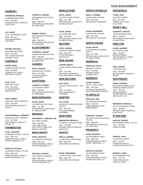# **DANBURY**

# **NISENBAUM, MICHELLE**

33 GERMATOWN ROAD 794-5605 (203) NUVANCE HEALTH MEDICAL PRACTICES

#### **LEVI, DAVID**

40 OLD RIDGEBURY ROAD 885-1441 (203) PAIN MANAGEMENT PARTNERS

#### **PRYWES, MITCHELL**

105 NEWTOWN ROAD 744-4343 (203) THE CENTER FOR PAIN REHABILITATION

# **FAIRFIELD**

52 BEACH ROAD STE 204 319-9355 (203) CONNECTICUT PAIN & WELL NESS CENTER **ANAND, RAHUL**

1055 POST ROAD 601-5130 (203) CT ORTHOPAEDIC SPECIALISTS **SILVA, KYLE**

#### **SABA, RAMSEY**

305 BLACK ROCK TURNPIKE 337-2600 (203) ORTHOPAEDIC SPECIALTY **GROUP** 

#### **KIRSCHENBAUM, LAWRENCE**

305 BLACK ROCK TURNPIKE 337-2600 (203) ORTHOPAEDIC SPECIALTY GROUP, PC

# **FARMINGTON**

10 BIRDSEYE ROAD , STE 200 598-7246 (203) INTERVENTIONAL SPINE & SPORTS MEDICINE, P.C. **PATEL, BHAVESH**

#### **WARYCHA, BOHDAN**

10 BIRDSEYE ROAD, STE 200 598-7246 (203) INTERVENTIONAL SPINE & SPORTS MEDICINE, P.C.

499 FARMINGTON AVENUE, STE 300 549-8337 (860) ORTHOPEDIC ASSOCIATES OF HARTFORD **CODISPOTI, VINCENT**

499 FARMINGTON AVENUE, STE 300 549-3210 (860) ORTHOPEDIC ASSOCIATES OF HARTFORD **MEMMO, PIETRO**

# **GLASTONBURY**

345 WESTERN BOULEVARD 549-8337 (860) ORTHOPEDIC ASSOCIATES OF HARTFORD **CODISPOTI, VINCENT**

#### **HAMDEN**

2408 WHITNEY AVENUE 407-3500 (203) CT ORTHOPAEDIC SPECIALISTS **PATEL, RAKESH**

# **HARTFORD**

31 SEYMOUR STREET 549-8337 (860) ORTHOPEDIC ASSOCIATES OF HARTFORD **CODISPOTI, VINCENT**

# **MARLBOROUGH**

14 JONES HOLLOW ROAD 347-7636 (860) ORTHOPAEDIC ASSOCIATES OF MIDDLETOWN **FEJOS, ARPAD**

# **MERIDEN**

435 LEWIS AVENUE 694-8414 (203) THE SPINE & PAIN INSTITUTE AT MIDSTATE MEDICAL CENTER **MACANNUCO - WINSLOW, ANN**

# **MIDDLEBURY**

1579 STRAITS TURNPIKE 598-7246 (203) INTERVENTIONAL SPINE & SPORTS MEDICINE, P.C. **PATEL, BHAVESH**

1579 STRAITS TURNPIKE 598-7246 (203) INTERVENTIONAL SPINE & SPORTS MEDICINE, P.C. **WARYCHA, BOHDAN**

# **MIDDLETOWN**

211 SOUTH MAIN STREET 347-7636 (860) ORTHOPAEDIC ASSOCIATES OF MIDDLETOWN **FEJOS, ARPAD**

512 SAYBROOK ROAD 347-7636 (860) ORTHOPAEDIC ASSOCIATES OF MIDDLETOWN **FEJOS, ARPAD**

# **MILFORD**

258 SOUTH BROAD STREET 882-3373 (203) CT ORTHOPAEDIC SPECIAL ISTS **PATEL, RAKESH**

# **NEW HAVEN**

1 LONG WHARF DRIVE SUITE 212 624-4208 (203) ADVANCED DIAGNOSTIC PAIN TREATMENT CENTERS **LIGHAM, DWIGHT**

# **NEW MILFORD**

131 KENT ROAD, BLDG A - STE 201 717-2676 (203) PAIN MANAGEMENT **PARTNERS LEVI, DAVID**

# **NEWTON**

164 MOUNT PLEASANT ROAD, STE 200 885-1441 (203) PAIN MANAGEMENT PARTNERS **LEVI, DAVID**

# **NEWTOWN**

170 MOUNT PLEASANT ROAD 794-5605 (203) NUVANCE HEALTH MEDICAL PRACTICES **NISENBAUM, MICHELLE**

# **NIANTIC**

11 INDUSTRIAL PARK ROAD 889-7345 (860) ORTHOPEDIC PARTNERS **ABELLA, GABRIEL**

11 INDUSTRIAL PARK ROAD 889-7345 (860) ORTHOPEDIC PARTNERS **PASHA, MOHAMMAD**

# **NORTH FRANKLIN**

82 NEW PARK AVENUE 889-7345 (860) ORTHOPEDIC PARTNERS **ABELLA, GABRIEL**

82 NEW PARK AVENUE 889-7345 (860) ORTHOPEDIC PARTNERS **PASHA, MOHAMMAD**

# **NORTH HAVEN**

52 WASHINGTON AVENUE, SUITE 3 347-7636 (860) ORTHOPAEDIC ASSOCIATES OF MIDDLETOWN **FEJOS, ARPAD**

# **NORWALK**

698 WEST AVENUE 523-0100 (203) **REHABILITATION** CONSULTANTS **KNOPLOCH, SILVIA**

# **NORWICH**

190 W. TOWN STREET 624-4208 (203) ADVANCED DIAGNOSTIC PAIN TREATMENT CENTERS **LIGHAM, DWIGHT**

# **PLAINVILLE**

440 NEW BRITAIN AVENUE (860) 793-0500 COMPREHENSIVE PAIN MANAGEMENT **GRAHLING, ERIC**

**CODISPOTI, VINCENT**

201 NORTH MOUNTAIN ROAD, STE 302 549-8337 (860) ORTHOPEDIC ASSOCIATES OF HARTFORD

# **PROSPECT**

166 WATERBURY ROAD 598-7246 (203) INTERVENTIONAL SPINE & SPORTS MEDICINE, P.C. **PATEL, BHAVESH**

**WARYCHA, BOHDAN**

166 WATERBURY ROAD 598-7246 (203) INTERVENTIONAL SPINE & SPORTS MEDICINE, P.C.

# **RIDGEFIELD**

66 GROVE STREET 437-7661 (203) CONNECTICUT PAIN **SOLUTIONS TUROK, IGOR**

# **ROCKY HILL**

150 ENTERPIRSE DRIVE 549-8337 (860) ORTHOPEDIC ASSOCIATES OF HARTFORD **CODISPOTI, VINCENT**

# **SHELTON**

2 IVY BROOK ROAD 755-6677 (203) NEUROSURGERY, ORTHOPAEDICS & SPINE SPECIALISTS, PC **JOHAR, SANDEEP**

**SABA, RAMSEY**

760 RIVER ROAD 337-2600 (203) ORTHOPAEDIC SPECIALTY **GROUP** 

# **SOUTHBURY**

# RIVERVIEW CINEMA PLAZA - **JOHAR, SANDEEP**

690 MAIN STREET SOUTH 755-6677 (203) NEUROSURGERY, ORTHOPAEDICS & SPINE SPECIALISTS, PC

#### **NISENBAUM, MICHELLE**

22 OLD WATERBURY ROAD 794-5605 (203) NUVANCE HEALTH MEDICAL PRACTICES

# **STAMFORD**

999 SUMMER STREET, STE 304 325-5700 (203) SPINE OPTIONS **CARLESI, VINCENT**

#### **DOWDLE, JOHN**

1 BLANCHLEY ROAD 276-2277 (203) STAMFORD HEALTH INTEGRATED PRACTICES

#### **BRODSKY, MARC**

32 STRAWBERRY HILL 276-4777 (203) STAMFORD HEALTH MEDICAL GROUP

# PAIN MANAGEMENT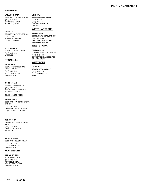# PAIN MANAGEMENT

# **STAMFORD**

29 HOSPITAL PLAZA, STE 601 276-2451 (203) STAMFORD HEALTH MEDICAL GROUP **WELLISCH, OFER**

#### **ZHANG, SI**

29 HOSPITAL PLAZA, STE 601 276-2451 (203) STAMFORD HEALTH MEDICAL GROUP

#### 1281 EAST MAIN STREET **ILLIG, ANDREW**

(203) 210-2830 **WESTMED** 

# **TRUMBULL**

888 WHITE PLAINS ROAD, SUITES 105 & 106 601-5130 (203) CT ORTHOPAEDIC SPECIALISTS **SILVA, KYLE**

#### **COHEN, ISAAC**

888 WHITE PLAINS ROAD 268-2882 (203) ORTHOPAEDIC & SPORTS MEDICINE CENTER

# **WALLINGFORD**

#### **RIFAEY, RANIA**

863 NORTH MAIN STREET EXT, STE 200 265-3280 (203) COMPREHENSIVE ORTHO & MUSCULOSKELETAL CARE LLC

#### **TUROK, IGOR**

67 MASONIC AVENUE, SUITE 2400 429-0490 (203) CONNECTICUT PAIN **SOLUTIONS** 

#### **PATEL, RAKESH**

701 NORTH COLONY ROAD 265-1800 (203) CT ORTHOPAEDIC SPECIALISTS

#### **WATERBURY**

**JOHAR, SANDEEP**

500 CHASE PARKWAY 755-6677 (203) NEUROSURGERY, ORTHOPAEDICS & SPINE SPECIALISTS, PC

1320 WEST MAIN STREET, BLDG #2, UNIT 5 518-8414 (203) PAIN MANAGEMENT PARTNERS **LEVI, DAVID**

# **WEST HARTFORD**

#### **KNOPP, HANS**

65 MEMORIAL ROAD, STE 435 696-2840 (860) HARTFORD HEALTHCARE PAIN MANAGEMENT

#### **WESTBROOK**

LAKEBOOK MEDICAL CENTER 347-7636 (860) ORTHOPAEDIC ASSOCIATES OF MIDDLETOWN **FEJOS, ARPAD**

# **WESTPORT**

1800 POST ROAD EAST 601-5130 (203) CT ORTHOPAEDIC SPECIALISTS **SILVA, KYLE**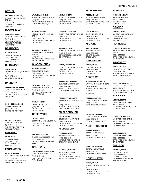# **BETHEL**

# **BUSINESS MANAGER,**

268 GREENWOOD AVENUE, STE 202 917-4792 (203) GREENWOOD PHYSICAL THERAPY

# **BLOOMFIELD**

# **FEINGOLD, DAVID**

35 JOLLEY DRIVE, STE 101 243-3434 (860) PHYSICAL MEDICINE & REHABILITATION OF HARTFORD

# **BRANFORD**

84 NORTH MAIN STREET 265-1800 (203) CT ORTHOPAEDIC SPECIALISTS **MARINO, JOHN**

# **BRIDGEPORT**

3180 MAIN STREET, STE 303 & 304 373-1593 (203) CORE MEDICAL GROUP **TUNG, DAVID**

# **DANBURY**

33 GERMANTOWN ROAD 794-5605 (203) NUVANCE HEALTH MEDICAL PRACTICES **NISENBAUM, MICHELLE**

#### 2 RIVERVIEW DRIVE (203) 797-1500 ORTHO CONNECTICUT **HOCHKEEPEL, JESSE**

**PRYWES, MITCHELL**

105 NEWTOWN ROAD 744-4343 (203) THE CENTER FOR PAIN **REHABILITATION** 

# **FAIRFIELD**

1055 POST ROAD 601-5130 (203) CT ORTHOPAEDIC **SPECIALISTS SILVA, KYLE**

# **FARMINGTON**

10 BIRDSEYE ROAD , STE 200 598-7246 (203) INTERVENTIONAL SPINE & SPORTS MEDICINE, P.C. **PATEL, BHAVESH**

10 BIRDSEYE ROAD, STE 200 598-7246 (203) INTERVENTIONAL SPINE & SPORTS MEDICINE, P.C. **WARYCHA, BOHDAN**

# 499 FARMINGTON AVENUE, **MEMMO, PIETRO**

STE 300 549-3210 (860) ORTHOPAEDIC ASSOCIATES OF HARTFORD

# 499 FARMINGTON AVENUE, STE 300 **CODISPOTI, VINCENT**

549-8337 (860) ORTHOPEDIC ASSOCIATES OF HARTFORD

# **GLASTONBURY**

345 WESTERN BLVD. 549-3210 (860) ORTHOPAEDIC ASSOCIATES OF HARTFORD **MEMMO, PIETRO**

# 345 WESTERN BOULEVARD **CODISPOTI, VINCENT**

549-8337 (860) ORTHOPEDIC ASSOCIATES OF HARTFORD

# **MEMMO, PIETRO**

345 WESTERN BLVD 549-3210 (860) ORTHOPEDIC ASSOCIATES OF HARTFORD

# **GREENWICH**

500 PUTNAM AVENUE, 3RD FL. 863-4290 (203) GREENWICH HOSPITAL **GRANT, LINDA**

#### 6 GREENWICH OFFICE PARK 869-1145 (203) ORTHO & NEUROSURGERY SPECIALISTS **HEFTLER, JEFFERY**

# **HARTFORD**

85 SEYMOUR STREET, STE 604 545-5130 (860) HARTFORD HEALTHCARE PHYSICIANS **SEETHARAMA, SUBRUMANI**

# **MEMMO, PIETRO**

31 SEYMOUR STREET, STE 100 549-3210 (860) ORTHOPAEDIC ASSOCIATES OF HARTFORD

31 SEYMOUR STREET, STE 100 549-8337 (860) ORTHOPEDIC ASSOCIATES OF HARTFORD **CODISPOTI, VINCENT**

# **MEMMO, PIETRO**

31 SEYMOUR STREET, STE 100 549-3210 (860) ORTHOPEDIC ASSOCIATES OF HARTFORD

31 SEYMOUR STREET, STE 100 549-8269 (860) ORTHOPEDIC ASSOCIATES OF HARTFORD, PC **RAMIN, JOHNATHAN**

# 114 WOODLAND STREET **PEPPERMAN, ROBERT**

714-2647 (860) TRINITY HEALTH OF NEW ENGLAND MEDICAL GROUP

#### 490 BLUE HILLS AVENUE, 3RD FL 714-2647 (860) **PEPPERMAN, ROBERT**

TRINITY HEALTH OF NEW ENGLAND MEDICAL GROUP

# **MARLBOROUGH**

14 JONES HOLLOW ROAD 347-7636 (860) ORTHOPAEDIC ASSOCIATES OF MIDDLETOWN **FEJOS, ARPAD**

# **MIDDLEBURY**

1579 STRAITS TURNPIKE 598-7246 (203) INTERVENTIONAL SPINE & SPORTS MEDICINE, P.C. **PATEL, BHAVESH**

1579 STRAITS TURNPIKE 598-7246 (203) INTERVENTIONAL SPINE & SPORTS MEDICINE, P.C. **WARYCHA, BOHDAN**

# **MIDDLETOWN**

211 SOUTH MAIN STREET 347-7636 (860) ORTHOPAEDIC ASSOCIATES OF MIDDLETOWN **FEJOS, ARPAD**

512 SAYBROOK ROAD 347-7636 (860) ORTHOPAEDIC ASSOCIATES OF MIDDLETOWN **FEJOS, ARPAD**

# **MILFORD**

258 BROAD STREET 265-1800 (203) CT ORTHOPAEDIC SPECIAL ISTS **MARINO, JOHN**

# **NEW BRITAIN**

ONE LAKE STREET, BLDG D 832-4666 (860) GROVE HILL MEDICAL CENTER, PC **PATEL, ROSHNI**

# **NEWTOWN**

170 MOUNT PLEASANT ROAD 794-5605 (203) NUVANCE HEALTH MEDICAL PRACTICES **NISENBAUM, MICHELLE**

# **NIANTIC**

11 INDUSTRIAL PARK ROAD 889-7345 (860) ORTHOPEDIC PARTNERS **ABELLA, GABRIEL**

# **PASHA, MOHAMMAD**

11 INDUSTRIAL PARK ROAD 889-7345 (860) ORTHOPEDIC PARTNERS

# **NORTH FRANKLIN**

82 NEW PARK AVENUE 889-7345 (860) ORTHOPEDIC PARTNERS **ABELLA, GABRIEL**

# **PASHA, MOHAMMAD**

82 NEW PARK AVENUE 889-7345 (860) ORTHOPEDIC PARTNERS

# **NORTH HAVEN**

52 WASHINGTON AVENUE, STE 3 347-7636 (860) ORTHOPAEDIC ASSOCIATES OF MIDDLETOWN **FEJOS, ARPAD**

# **NORWALK**

698 WEST AVENUE 523-0100 (203) REHABILITATION CONSULTANTS **KNOPLOCH, SILVIA**

# **ORANGE**

330 BOSTON POST ROAD 265-1800 (203) CT ORTHOPAEDIC SPECIALISTS **MARINO, JOHN**

# **PLAINVILLE**

201 NORTH MOUNTAIN ROAD STE 302 549-8337 (860) ORTHOPEDIC ASSOCIATES OF HARTFORD **CODISPOTI, VINCENT**

# **PROSPECT**

166 WATERBURY ROAD 598-7246 (203) INTERVENTIONAL SPINE & SPORTS MEDICINE, P.C. **PATEL, BHAVESH**

# **WARYCHA, BOHDAN**

166 WATERBURY ROAD 598-7246 (203) INTERVENTIONAL SPINE & SPORTS MEDICINE, P.C.

# **ROCKY HILL**

150 ENTERPRISE DRIVE 549-3210 (860) ORTHOPAEDIC ASSOCIATES OF HARTFORD **MEMMO, PIETRO**

# **CODISPOTI, VINCENT**

150 ENTERPRISE DRIVE 549-8337 (860) ORTHOPEDIC ASSOCIATES OF HARTFORD

# **MEMMO, PIETRO**

150 ENTERPRISE DRIVE 549-3210 (860) ORTHOPEDIC ASSOCIATES OF HARTFORD

# **SHELTON**

2 IVY BROOK ROAD 755-6677 (203) NEUROSURGERY, ORTHOPAEDICS & SPINE SPECIALISTS, PC **DARLING, ALISA**

# PHYSICAL MED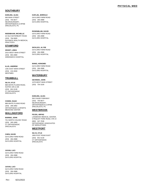# PHYSICAL MED

# **SOUTHBURY**

#### **DARLING, ALISA**

690 MAIN STREET 755-6677 NEUROSURGERY, ORTHOPAEDICS & SPINE (203) 755-6677<br>NEUROSURGERY<br>ORTHOPAEDICS<br>SPECIALISTS, PC

#### **NISENBAUM, MICHELLE**

22 OLD WATERBURY ROAD (203) 794-5605 NUVANCE HEALTH MEDICAL (203) 794-5<br>NUVANCE F<br>PRACTICES

# **STAMFORD**

2015 WEST MAIN STREET (203) 863-2880 **GREENWICH HOSPITAL GRANT, LINDA**

1281 EAST MAIN STREET (203) 210-2830 WESTMED **ILLIG, ANDREW**

# **TRUMBULL**

888 WHITE PLAINS ROAD, SUITES 105 & 106 (203) 601-5130 CT ORTHOPAEDIC (203) 601-51:<br>CT ORTHOPA<br>SPECIALISTS **SILVA, KYLE**

#### **COHEN, ISAAC**

888 WHITE PLAINS ROAD 268-2882 ORTHOPAEDIC & SPORTS (203) 268-2882<br>ORTHOPAEDIC & S<br>MEDICINE CENTER

# **WALLINGFORD**

#### **MARINO, JOHN**

701 NORTH COLONY ROAD 265-1800 CT ORTHOPAEDIC (203) 265-18<br>CT ORTHOPA<br>SPECIALISTS

#### **CHEN, DAVID**

GAYLORD FARM ROAD (203) 284-2888 **GAYLORD HOSPITAL** 

#### **JUVAN, LUCI**

GAYLORD FARM ROAD 284-2888 **GAYLORD HOSPITAL** 

**JUVAN, LUCI**

GAYLORD FARM ROAD 284-2888 **GAYLORD HOSPITAL** 

Rev: 6/21/2022

GAYLORD FARM ROAD 284-2888 **GAYLORD HOSPITAL KAPLAN, JERROLD**

#### GAYLORD FARM ROAD **ROSENBLUM, DAVID**

(203) 284-2888 **GAYLORD HOSPITAL** 

GAYLORD FARM ROAD 284-2888 **GAYLORD HOSPITAL SICKLICK, ALYSE**

GAYLORD FARM ROAD 284-2888 **GAYLORD HOSPITAL WANG, HONGMEI**

# **WATERBURY**

1078 WEST MAIN STREET (203) 754-3100 **GEVINSKI, JOHN**

# **DARLING, ALISA**

500 CHASE PARKWAY 755-6677 NEUROSURGERY, ORTHOPAEDICS & SPINE<br>SPECIALISTS, PC (203) 755-6677<br>NEUROSURGERY<br>ORTHOPAEDICS<br>SPECIALISTS, PC

# **WESTBROOK**

**FEJOS, ARPAD**

LAKEBOOK MEDICAL CENTER, 5 PEQUOT PARK ROAD, STE 2 0 (860) 347-7636 ORTHOPAEDIC ASSOCIATES (860) 347-7636<br>ORTHOPAEDIC AS<br>OF MIDDLETOWN

# **WESTPORT**

1800 POST ROAD EAST 601-5130 CT ORTHOPAEDIC (203) 601-51:<br>CT ORTHOPA<br>SPECIALISTS **SILVA, KYLE**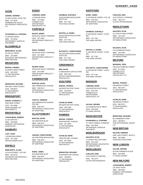#### Rev: 6/21/2022

# **AVON**

# 34 DALE ROAD, SUITE 208 677-0079 (860) FARMINGTON VALLEY **GABOW, ANDREW**

ORTHOPEDIC ASSOCIATES, P.C.

# **SCARANGELLA, STEPHEN**

31 ENSIGN DRIVE 751-6039 (860) ORTHOPEDIC SURGICAL PARTNERS

# **BLOOMFIELD**

35 JOLLEY DRIVE 242-3000 (860) ADVANCED ORTHOPEDICS NEW ENGLAND **BERKOWITZ, ALLEN**

# **BRANFORD**

84 NORTH MAIN STREET **MORAN, THOMAS**

483-2509 (203) CT ORTHOPAEDIC SPECIALISTS

#### **BERNSTEIN, RICHARD**

469 WEST MAIN STREET 789-8873 (203) CT ORTHOPEDIC SPECIALISTS

# **BRIDGEPORT**

2660 MAIN STREET 367-4008 (203) HAND SURGERY OF SOUTHERN CT **GROSS, STEWART C.**

# **BROOKFIELD**

31 OLD ROUTE 7 355-8000 (860) DANBURY ORTHOPEDIC **ASSOCIATES YAGHOUBIAN, ROBERT**

# **DANBURY**

2 RIVERVIEW DRIVE (203) 797-1500 ORTHOCONNECTICUT **LUNT, JOHN**

# **ENFIELD**

#### **BERKOWITZ, ALLEN**

113 ELM STREET, STE 302 253-0276 (860) ADVANCED ORTHOPEDICS NEW ENGLAND

# **ESSEX**

12 BOKUM ROAD 767-9053 (860) **CONNECTICUT** ORTHOPAEDIC SPECIALISTS, PC **LORENZE, MARK**

# **FAIRFIELD**

305 BLACK ROCK TURNPIKE 337-2600 (203) ORTHOPAEDIC SPECIALTY **GROUP BACKE, HENRY**

305 BLACK ROCK TURNPIKE 337-2600 (203) ORTHOPAEDIC SPECIALTY **GROUP RAGO, THOMAS**

305 BLACK ROCK TURNPIKE 337-2600 (203) ORTHOPAEDIC SPECIALTY GROUP, PC **RICHER, ROSS**

# **FARMINGTON**

499 FARMINGTON AVENUE 549-3210 (860) ORTHOPEDIC ASSOCIATES OF HARTFORD **BURTON, KEVIN**

#### 499 FARMINGTON AVENUE, **CAPUTO, ANDREW**

STE 300 549-3210 (860) ORTHOPEDIC ASSOCIATES OF HARTFORD

# **GLASTONBURY**

345 WESTERN BLVD 549-3210 (860) ORTHOPEDIC ASSOCIATES OF HARTFORD **BURTON, KEVIN**

# 345 WESTERN BOULEVARD **JUDSON, CHRISTOPHER**

549-3210 (860) ORTHOPEDIC ASSOCIATES OF HARTFORD

# **WARE, JAMES**

345 WESTERN BLVD 549-3210 (860) ORTHOPEDIC ASSOCIATES OF HARTFORD

**HARTFORD**

195 EASTERN BOULEVARD,

195 EASTERN BOULEVARD,

195 EASTERN BOULEVARD,

6 GREENWICH OFFICE PARK

ORTHO & NEUROSURGERY

450 BOSTON POST ROAD

450 BOSTON POST ROAD

2408 WHITNEY AVENYE 407-3500 (203) CT ORTHOPAEDIC SPECIALISTS

2408 WHITNEY AVENUE 407-3505 (203) CT ORTHOPAEDIC SPECIALISTS

9 WASHINGTON AVENUE 789-8873 (203) CT ORTHOPEDIC SPECIALISTS

**BERNSTEIN, RICHARD**

**SCANLAN, MARK**

**MORAN, THOMAS**

869-1145 (203)

453-6340 (203) CT ORTHOPAEDIC SPECIAL ISTS

265-1800 (203) CT ORTHOPAEDIC SPECIAL ISTS

**HAMDEN**

**SCANLAN, MARK**

**MORAN, THOMAS GUILFORD**

**GREENWICH**

SPECIALISTS

**WEI, DAVID**

**MCCARTHY, CHRISTOPHER**

**MASTELLA, DANIEL**

**ASHMEAD, DUFFIELD**

SUITE 200 527-7161 (860) THE HAND CENTER

SUITE 200 527-7161 (860) THE HAND CENTER

SUITE 200 527-7161 (860) THE HAND CENTER 31 SEYMOUR STREET, STE 100 549-3210 (860) ORTHOPEDIC ASSOCIATES OF HARTFORD **WARE, JAMES**

31 SEYMOUR STREET, SUITE 203 527-7161 (860) THE HAND CENTER **ASHMEAD, DUFFIELD**

31 SEYMOUR STREET, SUITE 203 527-7161 (860) THE HAND CENTER **MASTELLA, DANIEL**

31 SEYMOUR STREET, SUITE 203 527-7161 (860) THE HAND CENTER **MCCARTHY, CHRISTOPHER**

# **MADISON**

1353 BOSTON POST ROAD 245-7447 (203) **CONNECTICUT ORTHOPAEDIC** SPECIALISTS, PC **LORENZE, MARK**

115 SAMSON ROCK DRIVE 245-4500 (203) CT HAND CENTER **SAJJAD, SEPHER**

# **MANCHESTER**

277 WEST MIDDLE TURNPIKE 432-4640 (860) ORTHOPEDIC SURGICAL PARTNERS **SCARANGELLA, STEPHEN**

# **MARLBOROUGH**

14 JONES HOLLOW ROAD 310-1430 (860) ORTHOPAEDIC ASSOCIATES OF MIDDLETOWN **NAUJOKS, RYAN**

# **MIDDLEBURY**

1579 STRAITS TURNPIKE 758-1272 (203) ACTIVE ORTHOPAEDICS **CARLSON, ERIK**

#### 1579 STRAITS TURNPIKE 758-1272 (203) ACTIVE ORTHOPAEDICS **CARLSON, ERIK**

# **MIDDLETOWN**

211 SOUTH MAIN STREET 310-1430 (860) ORTHOPAEDIC ASSOCIATES OF MIDDLETOWN **NAUJOKS, RYAN**

# **NAUJOKS, RYAN**

512 SAYBROOK ROAD 310-1430 (860) ORTHOPAEDIC ASSOCIATES OF MIDDLETOWN

# **MILFORD**

#### 258 SOUTH BROAD STREET 877-5522 (203) CONNECTICUT ORTHOPAEDIC SPECIALISTS, PC **WEISMAN, TEDD**

# **MORAN, THOMAS**

258 BROAD STREET 882-3373 (203) CT ORTHOPAEDIC SPECIALISTS

# **SCANLAN, MARK**

250 BROAD STREET 882-3373 (203) CT ORTHOPAEDIC SPECIALISTS

# **BERNSTEIN, RICHARD**

80 COMMERCE PARK 789-8873 (203) THE ORTHOPAEDIC GROUP LLC

# **NEW BRITAIN**

ONE LAKE STREET, BLDG D 832-4666 (860) STARLING PHYSICIANS **NELSON, ANDREW**

# **NEW LONDON**

59 FAIR HARBOUR PLACE 442-4500 (860) CT HAND CENTER **SAJJAD, SEPHER**

# **NEW MILFORD**

131 KENT ROAD 355-8000 (860) DANBURY ORTHOPEDIC ASSOCIATES **YAGHOUBIAN, ROBERT**

# SURGERY, HAND